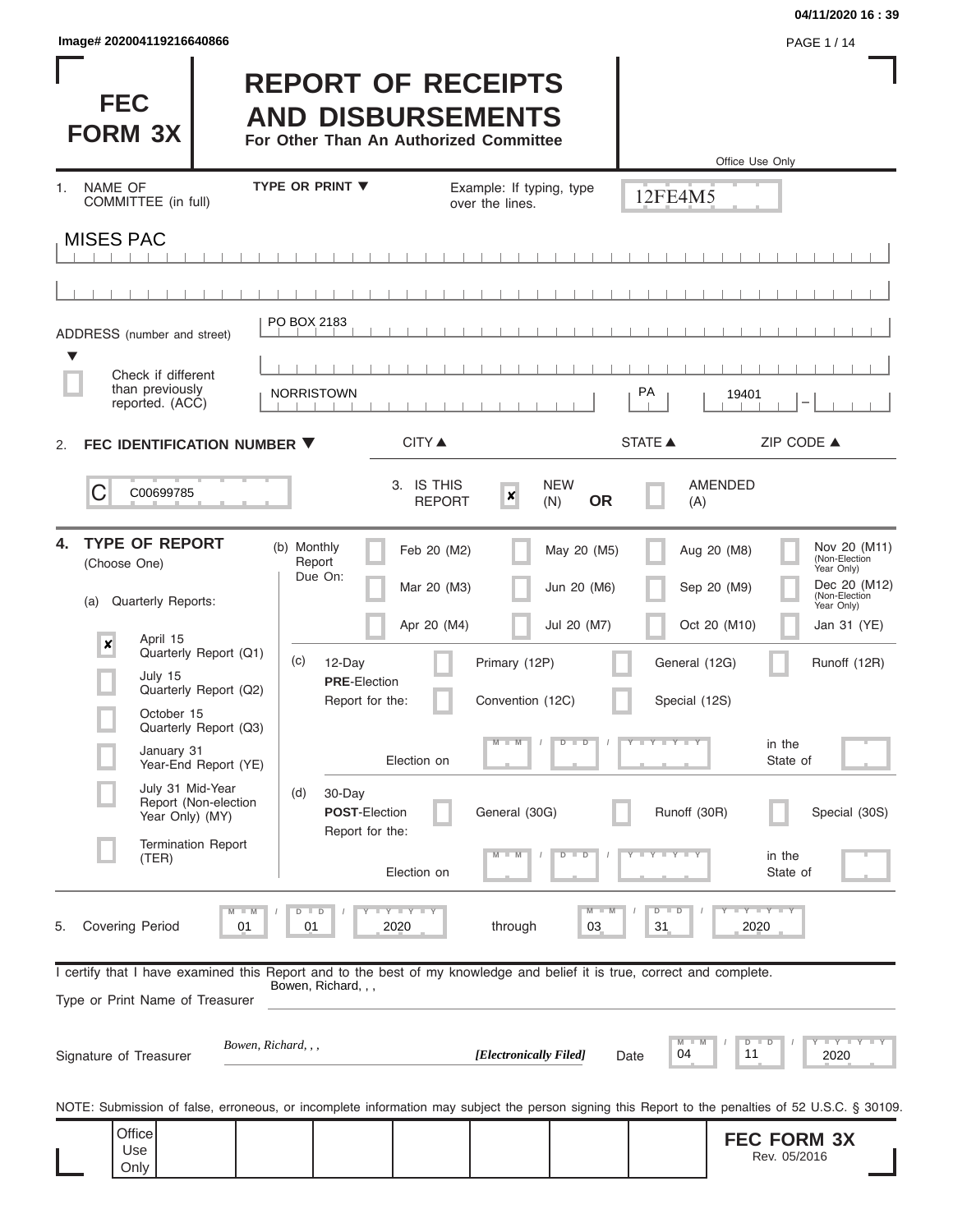| lmage# 202004119216640866 | <b>PAGE 1/14</b> |
|---------------------------|------------------|
|---------------------------|------------------|

ı

#### **04/11/2020 16 : 39**

| <b>FEC</b><br><b>FORM 3X</b>                                                                                                                               | <b>REPORT OF RECEIPTS</b><br><b>AND DISBURSEMENTS</b><br>For Other Than An Authorized Committee |                                                 |                                | Office Use Only                          |                                                             |
|------------------------------------------------------------------------------------------------------------------------------------------------------------|-------------------------------------------------------------------------------------------------|-------------------------------------------------|--------------------------------|------------------------------------------|-------------------------------------------------------------|
| NAME OF<br>$1_{-}$<br>COMMITTEE (in full)                                                                                                                  | <b>TYPE OR PRINT ▼</b>                                                                          | Example: If typing, type<br>over the lines.     |                                | 12FE4M5                                  |                                                             |
| <b>MISES PAC</b>                                                                                                                                           |                                                                                                 |                                                 |                                |                                          |                                                             |
|                                                                                                                                                            |                                                                                                 |                                                 |                                |                                          |                                                             |
|                                                                                                                                                            |                                                                                                 |                                                 |                                |                                          |                                                             |
| ADDRESS (number and street)                                                                                                                                | PO BOX 2183                                                                                     |                                                 |                                |                                          |                                                             |
| Check if different                                                                                                                                         |                                                                                                 |                                                 |                                |                                          |                                                             |
| than previously<br>reported. (ACC)                                                                                                                         | <b>NORRISTOWN</b>                                                                               |                                                 |                                | PA<br>19401                              |                                                             |
| FEC IDENTIFICATION NUMBER ▼<br>2.                                                                                                                          |                                                                                                 | <b>CITY</b> ▲                                   |                                | <b>STATE ▲</b>                           | ZIP CODE ▲                                                  |
| C<br>C00699785                                                                                                                                             |                                                                                                 | 3. IS THIS<br>$\boldsymbol{x}$<br><b>REPORT</b> | <b>NEW</b><br><b>OR</b><br>(N) | <b>AMENDED</b><br>(A)                    |                                                             |
| <b>TYPE OF REPORT</b><br>4.<br>(Choose One)                                                                                                                | (b) Monthly<br>Report<br>Due On:                                                                | Feb 20 (M2)                                     | May 20 (M5)                    | Aug 20 (M8)                              | Nov 20 (M11)<br>(Non-Election<br>Year Only)<br>Dec 20 (M12) |
| <b>Quarterly Reports:</b><br>(a)                                                                                                                           |                                                                                                 | Mar 20 (M3)                                     | Jun 20 (M6)                    | Sep 20 (M9)                              | (Non-Election<br>Year Only)                                 |
| April 15<br>$\pmb{\times}$<br>Quarterly Report (Q1)                                                                                                        |                                                                                                 | Apr 20 (M4)                                     | Jul 20 (M7)                    | Oct 20 (M10)                             | Jan 31 (YE)                                                 |
| July 15<br>Quarterly Report (Q2)                                                                                                                           | (c)<br>12-Day<br><b>PRE-Election</b>                                                            | Primary (12P)                                   |                                | General (12G)                            | Runoff (12R)                                                |
| October 15                                                                                                                                                 | Report for the:                                                                                 | Convention (12C)                                |                                | Special (12S)                            |                                                             |
| Quarterly Report (Q3)<br>January 31<br>Year-End Report (YE)                                                                                                | Election on                                                                                     | $M - M$                                         | $D$ $D$<br>$\prime$            | Y FYLY FY                                | in the<br>State of                                          |
| July 31 Mid-Year<br>Report (Non-election<br>Year Only) (MY)                                                                                                | (d)<br>30-Day<br><b>POST-Election</b>                                                           | General (30G)                                   |                                | Runoff (30R)                             | Special (30S)                                               |
| <b>Termination Report</b><br>(TER)                                                                                                                         | Report for the:<br>Election on                                                                  |                                                 |                                |                                          | in the<br>State of                                          |
| <b>Covering Period</b><br>5.<br>01                                                                                                                         | $D$ $D$<br>Y L Y L Y<br>2020<br>01                                                              | through                                         | M<br>03                        | $D$ $D$<br>2020<br>31                    | $\Box$ $\Upsilon$ $\Box$ $\Upsilon$ $\Upsilon$ $\Upsilon$   |
| I certify that I have examined this Report and to the best of my knowledge and belief it is true, correct and complete.<br>Type or Print Name of Treasurer | Bowen, Richard, , ,                                                                             |                                                 |                                |                                          |                                                             |
| Bowen, Richard, , ,<br>Signature of Treasurer                                                                                                              |                                                                                                 | [Electronically Filed]                          | Date                           | $D$ $D$<br>$M$ $\equiv$<br>M<br>04<br>11 | <b>LEYTEY L</b><br>2020                                     |
| NOTE: Submission of false, erroneous, or incomplete information may subject the person signing this Report to the penalties of 52 U.S.C. § 30109.          |                                                                                                 |                                                 |                                |                                          |                                                             |
| Office<br>Use<br>Only                                                                                                                                      |                                                                                                 |                                                 |                                |                                          | <b>FEC FORM 3X</b><br>Rev. 05/2016                          |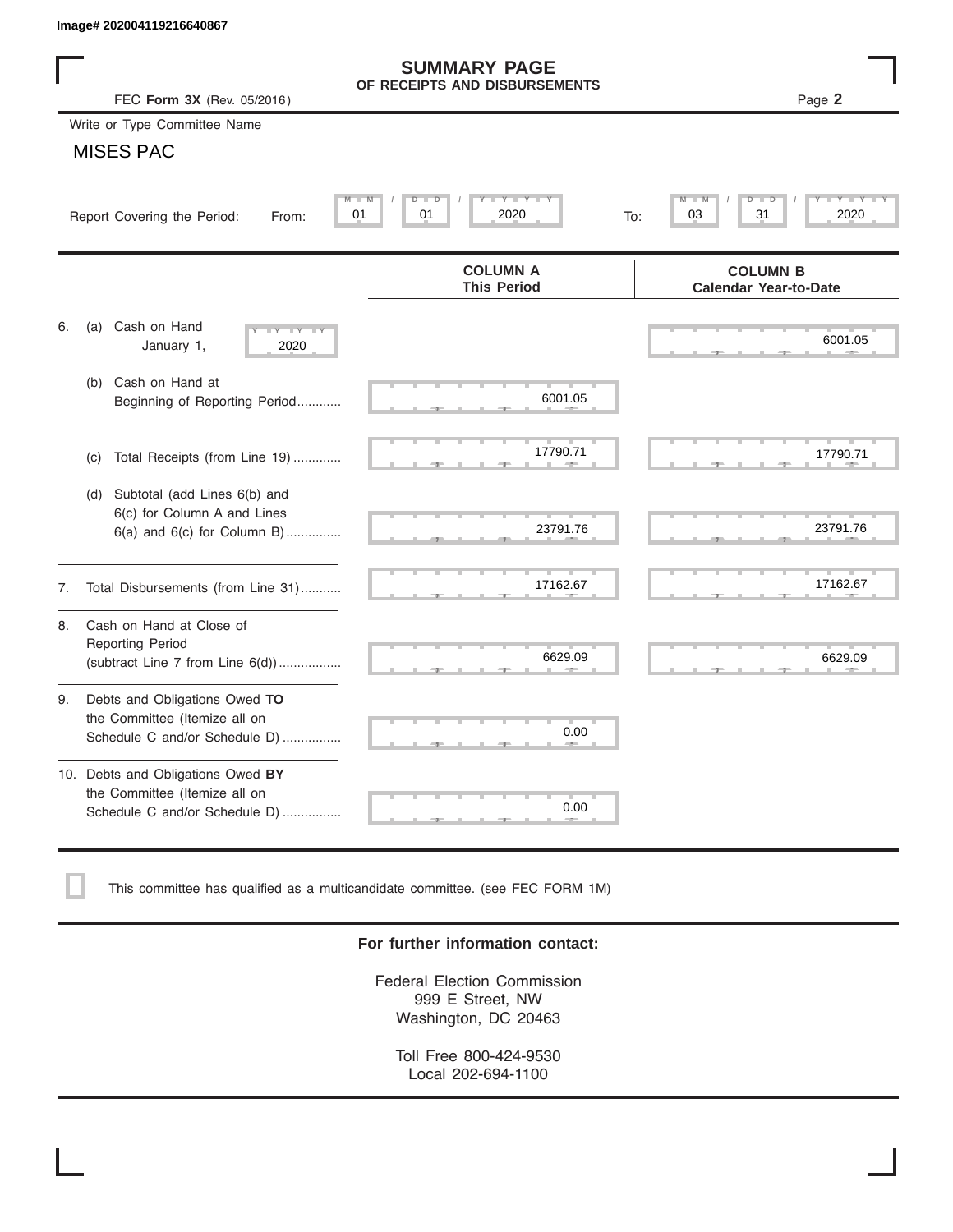|    | Image# 202004119216640867                                                                             |                                                      |                                                 |
|----|-------------------------------------------------------------------------------------------------------|------------------------------------------------------|-------------------------------------------------|
|    | FEC Form 3X (Rev. 05/2016)                                                                            | <b>SUMMARY PAGE</b><br>OF RECEIPTS AND DISBURSEMENTS | Page 2                                          |
|    | Write or Type Committee Name                                                                          |                                                      |                                                 |
|    | <b>MISES PAC</b>                                                                                      |                                                      |                                                 |
|    | Report Covering the Period:<br>From:                                                                  | Y L Y L<br>$D$ $\Box$<br>D<br>01<br>2020<br>01       | D<br>31<br>2020<br>03<br>To:                    |
|    |                                                                                                       | <b>COLUMN A</b><br><b>This Period</b>                | <b>COLUMN B</b><br><b>Calendar Year-to-Date</b> |
| 6. | Cash on Hand<br>(a)<br>$-Y - Y - Y$<br>January 1,<br>2020                                             |                                                      | 6001.05                                         |
|    | Cash on Hand at<br>(b)<br>Beginning of Reporting Period                                               | 6001.05                                              |                                                 |
|    | Total Receipts (from Line 19)<br>(c)                                                                  | 17790.71                                             | 17790.71                                        |
|    | Subtotal (add Lines 6(b) and<br>(d)<br>6(c) for Column A and Lines<br>$6(a)$ and $6(c)$ for Column B) | 23791.76                                             | 23791.76                                        |
| 7. | Total Disbursements (from Line 31)                                                                    | 17162.67                                             | 17162.67                                        |
| 8. | Cash on Hand at Close of<br><b>Reporting Period</b><br>(subtract Line $7$ from Line $6(d)$ )          | 6629.09                                              | 6629.09                                         |
| 9. | Debts and Obligations Owed TO<br>the Committee (Itemize all on<br>Schedule C and/or Schedule D)       | 0.00                                                 |                                                 |
|    | 10. Debts and Obligations Owed BY<br>the Committee (Itemize all on<br>Schedule C and/or Schedule D)   | т<br>0.00                                            |                                                 |

This committee has qualified as a multicandidate committee. (see FEC FORM 1M)

## **For further information contact:**

Federal Election Commission 999 E Street, NW Washington, DC 20463

Toll Free 800-424-9530 Local 202-694-1100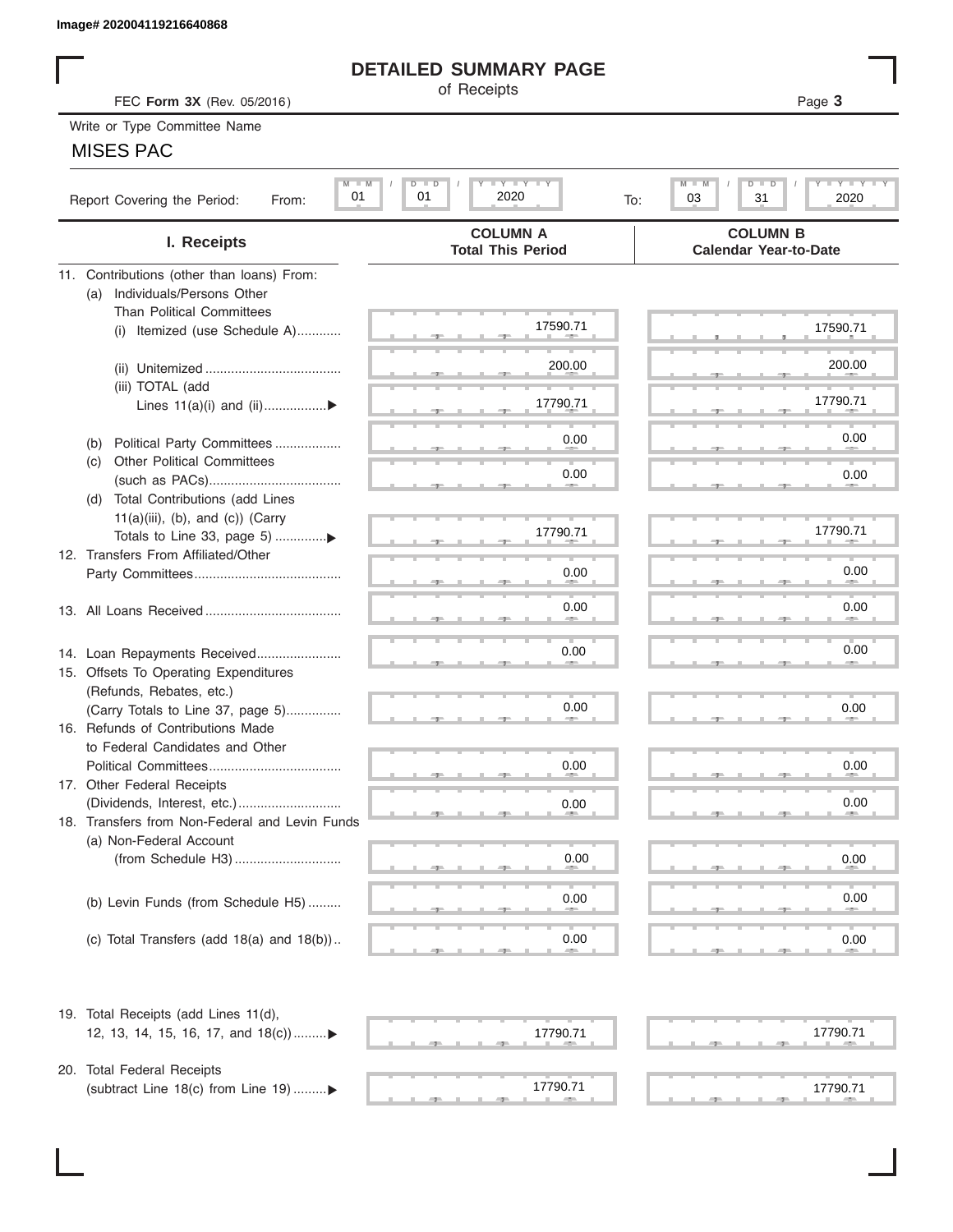# **DETAILED SUMMARY PAGE**

## MISES PAC

| Image# 202004119216640868                             |                                                                 |                                                 |
|-------------------------------------------------------|-----------------------------------------------------------------|-------------------------------------------------|
|                                                       | <b>DETAILED SUMMARY PAGE</b>                                    |                                                 |
| FEC Form 3X (Rev. 05/2016)                            | of Receipts                                                     | Page 3                                          |
| Write or Type Committee Name                          |                                                                 |                                                 |
| <b>MISES PAC</b>                                      |                                                                 |                                                 |
|                                                       |                                                                 |                                                 |
| $M - M$<br>01<br>Report Covering the Period:<br>From: | $I - Y - I - Y - I - Y$<br>$D$ $\Box$<br>D<br>2020<br>01<br>To: | Y I Y I<br>M<br>$D$ $\Box$<br>31<br>2020<br>03  |
| I. Receipts                                           | <b>COLUMN A</b><br><b>Total This Period</b>                     | <b>COLUMN B</b><br><b>Calendar Year-to-Date</b> |
| 11. Contributions (other than loans) From:            |                                                                 |                                                 |
| Individuals/Persons Other<br>(a)                      |                                                                 |                                                 |
| <b>Than Political Committees</b>                      | 17590.71                                                        |                                                 |
| Itemized (use Schedule A)<br>(i)                      |                                                                 | 17590.71                                        |
|                                                       | 200.00                                                          | 200.00                                          |
| (iii) TOTAL (add                                      |                                                                 |                                                 |
| Lines $11(a)(i)$ and $(ii)$                           | 17790.71                                                        | 17790.71                                        |
|                                                       |                                                                 |                                                 |
| Political Party Committees<br>(b)                     | 0.00                                                            | 0.00                                            |
| <b>Other Political Committees</b><br>(C)              |                                                                 |                                                 |
|                                                       | 0.00                                                            | 0.00                                            |
| Total Contributions (add Lines<br>(d)                 |                                                                 |                                                 |
| $11(a)(iii)$ , (b), and (c)) (Carry                   | 17790.71                                                        | 17790.71                                        |
| 12. Transfers From Affiliated/Other                   |                                                                 |                                                 |
|                                                       | 0.00                                                            | 0.00                                            |
|                                                       |                                                                 |                                                 |
|                                                       | 0.00                                                            | 0.00                                            |
|                                                       |                                                                 |                                                 |
| 14. Loan Repayments Received                          | 0.00                                                            | 0.00                                            |
| 15. Offsets To Operating Expenditures                 |                                                                 |                                                 |
| (Refunds, Rebates, etc.)                              |                                                                 |                                                 |
| (Carry Totals to Line 37, page 5)                     | 0.00                                                            | 0.00                                            |
| 16. Refunds of Contributions Made                     |                                                                 |                                                 |
| to Federal Candidates and Other                       |                                                                 |                                                 |
| Political Committees                                  | 0.00                                                            | 0.00                                            |
| 17. Other Federal Receipts                            |                                                                 | 0.00                                            |
| 18. Transfers from Non-Federal and Levin Funds        | 0.00                                                            |                                                 |
| (a) Non-Federal Account                               |                                                                 |                                                 |
|                                                       | 0.00                                                            | 0.00                                            |
|                                                       |                                                                 |                                                 |
| (b) Levin Funds (from Schedule H5)                    | 0.00                                                            | 0.00                                            |
|                                                       |                                                                 |                                                 |
| (c) Total Transfers (add $18(a)$ and $18(b)$ )        | 0.00                                                            | 0.00                                            |
| 19. Total Receipts (add Lines 11(d),                  |                                                                 |                                                 |
| 12, 13, 14, 15, 16, 17, and 18(c))▶                   | 17790.71                                                        | 17790.71                                        |
|                                                       |                                                                 |                                                 |
| 20. Total Federal Receipts                            |                                                                 |                                                 |
| (subtract Line 18(c) from Line 19) ▶                  | 17790.71                                                        | 17790.71                                        |
|                                                       |                                                                 |                                                 |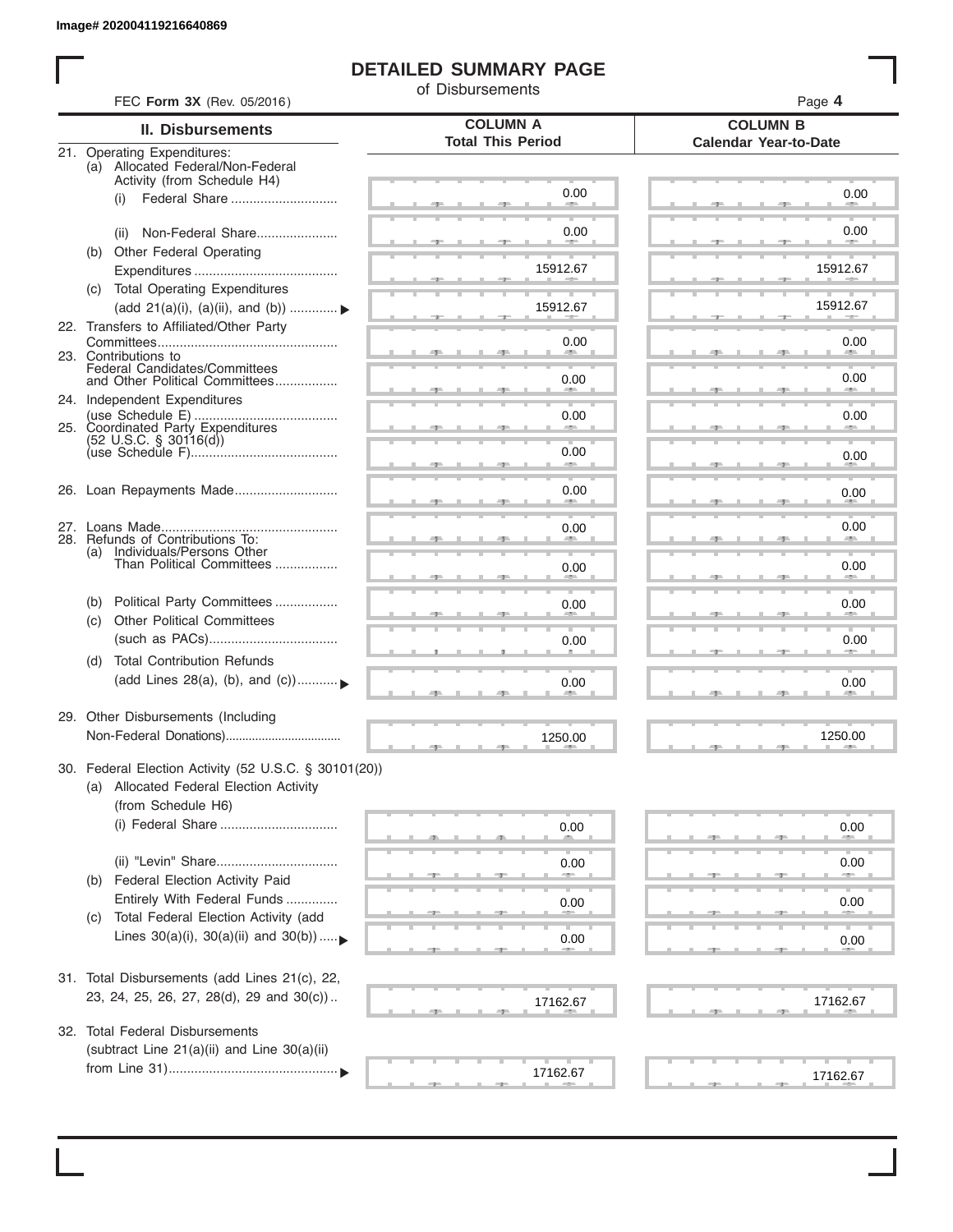I

# **DETAILED SUMMARY PAGE**

of Disbursements

|     | FEC Form 3X (Rev. 05/2016)                                                                                             | <b>COLUMN A</b>          | Page 4<br><b>COLUMN B</b>    |
|-----|------------------------------------------------------------------------------------------------------------------------|--------------------------|------------------------------|
|     | <b>II. Disbursements</b>                                                                                               | <b>Total This Period</b> | <b>Calendar Year-to-Date</b> |
|     | 21. Operating Expenditures:<br>(a) Allocated Federal/Non-Federal<br>Activity (from Schedule H4)                        |                          |                              |
|     | Federal Share<br>(i)                                                                                                   | 0.00                     | 0.00                         |
|     | Non-Federal Share<br>(ii)                                                                                              | 0.00                     | 0.00                         |
| (b) | Other Federal Operating                                                                                                | 15912.67                 | 15912.67                     |
|     | (c) Total Operating Expenditures<br>(add 21(a)(i), (a)(ii), and (b))                                                   | 15912.67                 | 15912.67                     |
|     | 22. Transfers to Affiliated/Other Party                                                                                | 0.00                     | 0.00                         |
|     | 23. Contributions to<br>Federal Candidates/Committees<br>and Other Political Committees                                | 0.00                     | <b>All Andre</b><br>0.00     |
|     | 24. Independent Expenditures                                                                                           |                          | <b>AND</b>                   |
|     | 25. Coordinated Party Expenditures<br>$(52 \text{ U.S.C. }$ § 30116(d))                                                | 0.00                     | 0.00                         |
|     |                                                                                                                        | 0.00                     | 0.00                         |
|     | 26. Loan Repayments Made                                                                                               | 0.00                     | 0.00                         |
|     | 28. Refunds of Contributions To:                                                                                       | 0.00                     | 0.00                         |
|     | (a) Individuals/Persons Other<br>Than Political Committees                                                             | 0.00                     | 0.00                         |
| (b) | Political Party Committees<br><b>Other Political Committees</b>                                                        | 0.00                     | 0.00                         |
| (C) |                                                                                                                        | 0.00                     | 0.00                         |
| (d) | <b>Total Contribution Refunds</b><br>(add Lines 28(a), (b), and (c))                                                   | 0.00                     | 0.00                         |
|     | 29. Other Disbursements (Including                                                                                     | 1250.00                  | 1250.00                      |
|     | 30. Federal Election Activity (52 U.S.C. § 30101(20))<br>(a) Allocated Federal Election Activity<br>(from Schedule H6) |                          |                              |
|     | (i) Federal Share                                                                                                      | 0.00                     | 0.00                         |
| (b) | Federal Election Activity Paid                                                                                         | 0.00                     | 0.00                         |
| (C) | Entirely With Federal Funds<br>Total Federal Election Activity (add                                                    | 0.00                     | 0.00                         |
|     | Lines $30(a)(i)$ , $30(a)(ii)$ and $30(b))$                                                                            | 0.00                     | 0.00                         |
|     | 31. Total Disbursements (add Lines 21(c), 22,                                                                          |                          |                              |
|     | 23, 24, 25, 26, 27, 28(d), 29 and 30(c))                                                                               | 17162.67                 | 17162.67                     |
|     | 32. Total Federal Disbursements<br>(subtract Line 21(a)(ii) and Line 30(a)(ii)                                         |                          |                              |
|     |                                                                                                                        | 17162.67                 | 17162.67                     |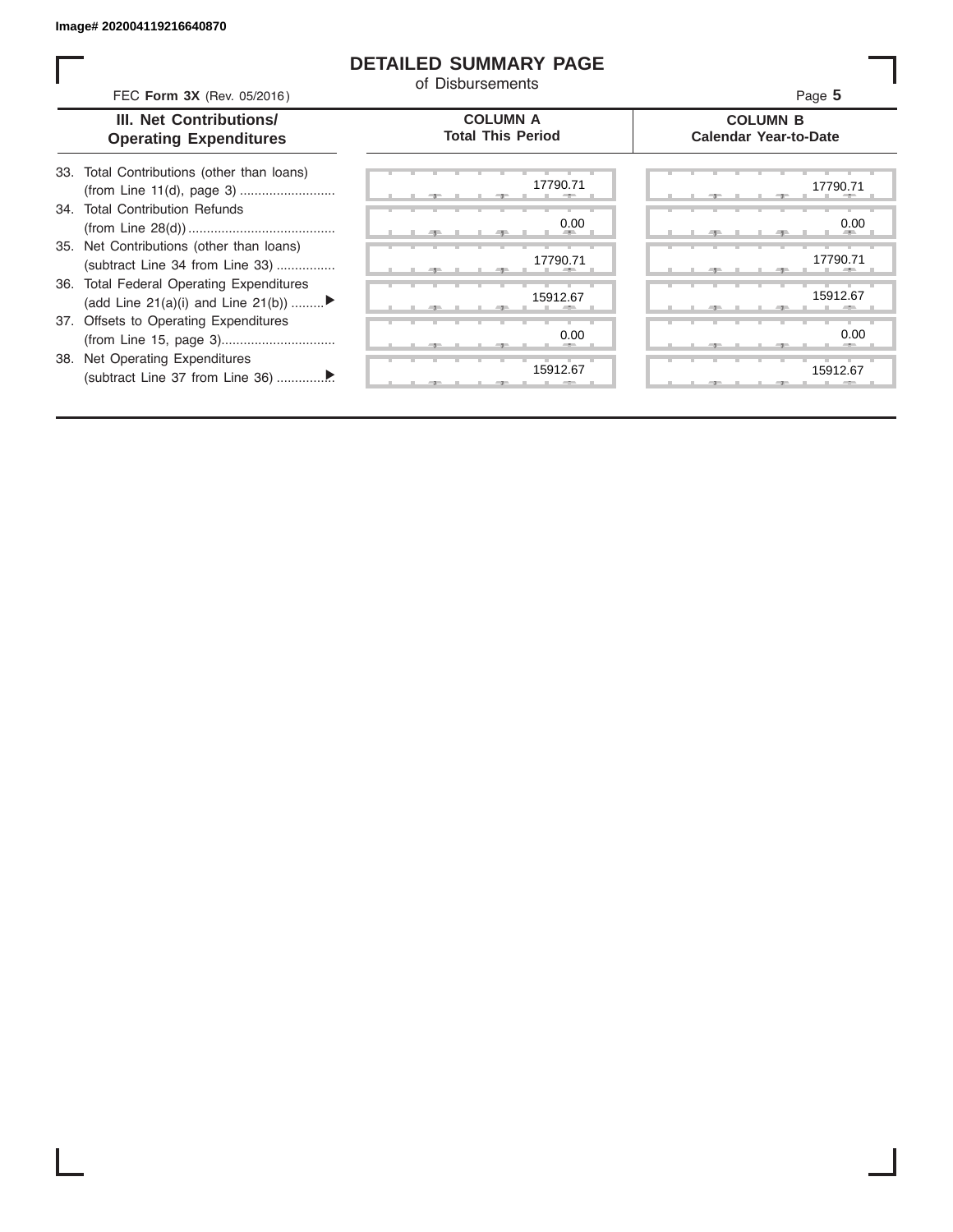ı

## **DETAILED SUMMARY PAGE**

of Disbursements

| FEC Form 3X (Rev. 05/2016)                                                     | <u>UL DISDUISEINENIS</u>                    | Page 5                                          |
|--------------------------------------------------------------------------------|---------------------------------------------|-------------------------------------------------|
| III. Net Contributions/<br><b>Operating Expenditures</b>                       | <b>COLUMN A</b><br><b>Total This Period</b> | <b>COLUMN B</b><br><b>Calendar Year-to-Date</b> |
| 33. Total Contributions (other than loans)<br>(from Line 11(d), page 3)        | 17790.71                                    | 17790.71                                        |
| 34. Total Contribution Refunds                                                 | 0.00                                        | 0.00                                            |
| 35. Net Contributions (other than loans)<br>(subtract Line 34 from Line 33)    | 17790.71                                    | 17790.71                                        |
| 36. Total Federal Operating Expenditures<br>(add Line 21(a)(i) and Line 21(b)) | 15912.67                                    | 15912.67                                        |
| 37. Offsets to Operating Expenditures                                          | 0.00                                        | 0.00                                            |
| 38. Net Operating Expenditures                                                 | 15912.67                                    | 15912.67                                        |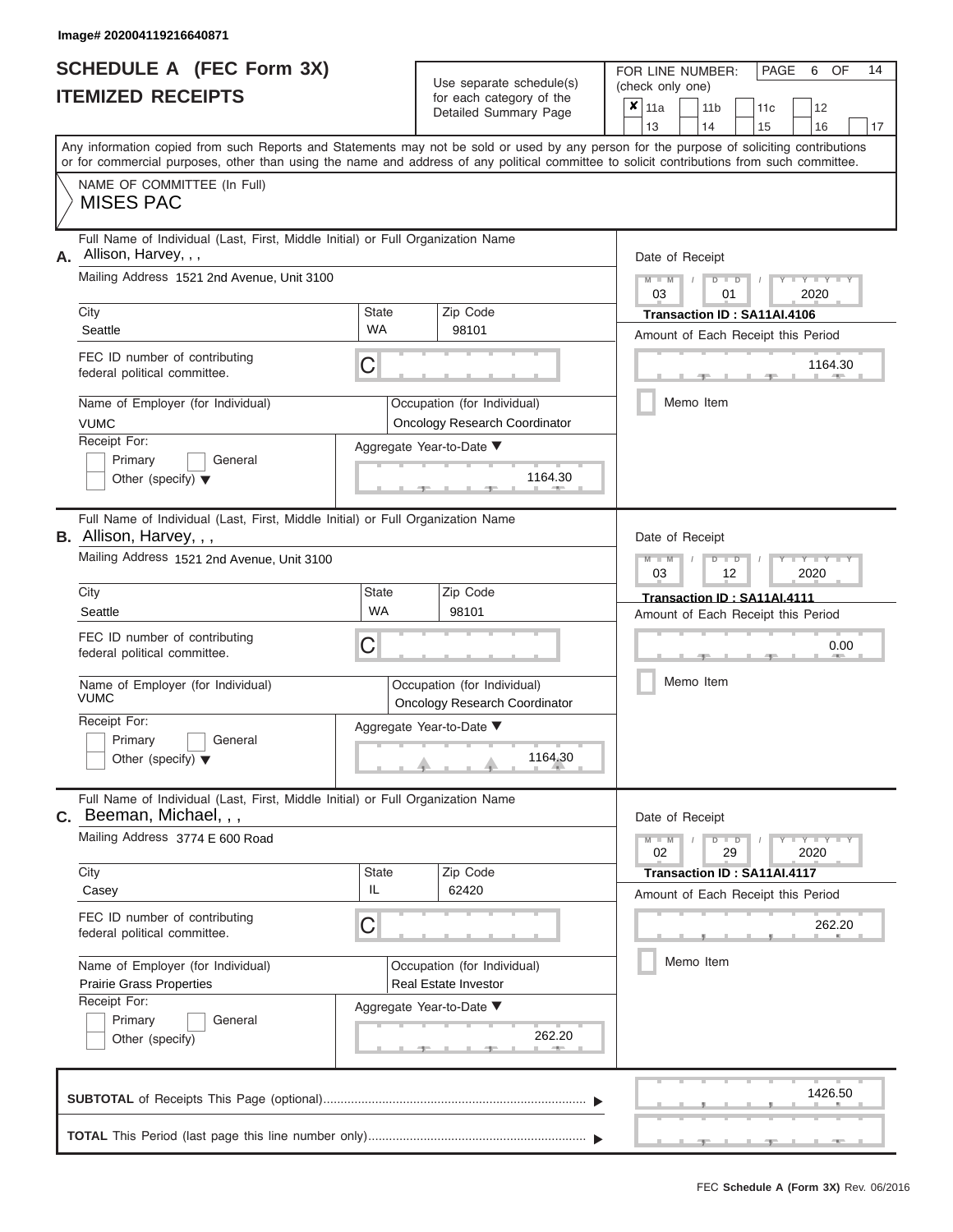|                          | <b>SCHEDULE A (FEC Form 3X)</b> |
|--------------------------|---------------------------------|
| <b>ITEMIZED RECEIPTS</b> |                                 |

Use separate schedule(s) (check only one) for each category of the

FOR LINE NUMBER:<br>(check only one)

PAGE 6 OF 14

| IIEMIZED RECEIPIS                                                                                                                                           |                    | for each category of the<br>Detailed Summary Page                   | ×<br>11a<br>12<br>11 <sub>b</sub><br>11c<br>13<br>17<br>14<br>15<br>16                                                                    |
|-------------------------------------------------------------------------------------------------------------------------------------------------------------|--------------------|---------------------------------------------------------------------|-------------------------------------------------------------------------------------------------------------------------------------------|
| or for commercial purposes, other than using the name and address of any political committee to solicit contributions from such committee.                  |                    |                                                                     | Any information copied from such Reports and Statements may not be sold or used by any person for the purpose of soliciting contributions |
| NAME OF COMMITTEE (In Full)<br><b>MISES PAC</b>                                                                                                             |                    |                                                                     |                                                                                                                                           |
| Full Name of Individual (Last, First, Middle Initial) or Full Organization Name<br>Allison, Harvey, , ,<br>А.<br>Mailing Address 1521 2nd Avenue, Unit 3100 |                    |                                                                     | Date of Receipt                                                                                                                           |
| City                                                                                                                                                        | State              | Zip Code                                                            | $Y - Y$<br>$-W$<br>D<br>D<br>2020<br>03<br>01<br>Transaction ID: SA11AI.4106                                                              |
| Seattle                                                                                                                                                     | WA                 | 98101                                                               | Amount of Each Receipt this Period                                                                                                        |
| FEC ID number of contributing<br>federal political committee.                                                                                               | C                  |                                                                     | 1164.30                                                                                                                                   |
| Name of Employer (for Individual)<br><b>VUMC</b>                                                                                                            |                    | Occupation (for Individual)<br><b>Oncology Research Coordinator</b> | Memo Item                                                                                                                                 |
| Receipt For:<br>Primary<br>General<br>Other (specify) $\blacktriangledown$                                                                                  |                    | Aggregate Year-to-Date ▼<br>1164.30                                 |                                                                                                                                           |
| Full Name of Individual (Last, First, Middle Initial) or Full Organization Name<br>B. Allison, Harvey, , ,                                                  |                    |                                                                     | Date of Receipt                                                                                                                           |
| Mailing Address 1521 2nd Avenue, Unit 3100                                                                                                                  |                    |                                                                     | Y I Y I<br>M<br>$\Box$<br>2020<br>03<br>12                                                                                                |
| City<br>Seattle                                                                                                                                             | State<br><b>WA</b> | Zip Code<br>98101                                                   | Transaction ID: SA11AI.4111<br>Amount of Each Receipt this Period                                                                         |
| FEC ID number of contributing<br>federal political committee.                                                                                               | C                  |                                                                     | 0.00                                                                                                                                      |
| Name of Employer (for Individual)<br><b>VUMC</b>                                                                                                            |                    | Occupation (for Individual)<br><b>Oncology Research Coordinator</b> | Memo Item                                                                                                                                 |
| Receipt For:<br>Primary<br>General<br>Other (specify) $\blacktriangledown$                                                                                  |                    | Aggregate Year-to-Date ▼<br>1164.30                                 |                                                                                                                                           |
| Full Name of Individual (Last, First, Middle Initial) or Full Organization Name<br>$c.$ Beeman, Michael, , ,                                                |                    |                                                                     | Date of Receipt                                                                                                                           |
| Mailing Address 3774 E 600 Road                                                                                                                             |                    |                                                                     | $Y = Y = Y$<br>$\Box$<br>$M - M$<br>$\overline{D}$<br>02<br>29<br>2020                                                                    |
| City<br>Casey                                                                                                                                               | State<br>IL        | Zip Code<br>62420                                                   | Transaction ID: SA11AI.4117<br>Amount of Each Receipt this Period                                                                         |
| FEC ID number of contributing<br>federal political committee.                                                                                               | C                  |                                                                     | 262.20                                                                                                                                    |
| Name of Employer (for Individual)<br><b>Prairie Grass Properties</b>                                                                                        |                    | Occupation (for Individual)<br>Real Estate Investor                 | Memo Item                                                                                                                                 |
| Receipt For:                                                                                                                                                |                    | Aggregate Year-to-Date ▼                                            |                                                                                                                                           |
| Primary<br>General<br>Other (specify)                                                                                                                       |                    | 262.20                                                              |                                                                                                                                           |
|                                                                                                                                                             |                    |                                                                     | 1426.50                                                                                                                                   |
|                                                                                                                                                             |                    |                                                                     |                                                                                                                                           |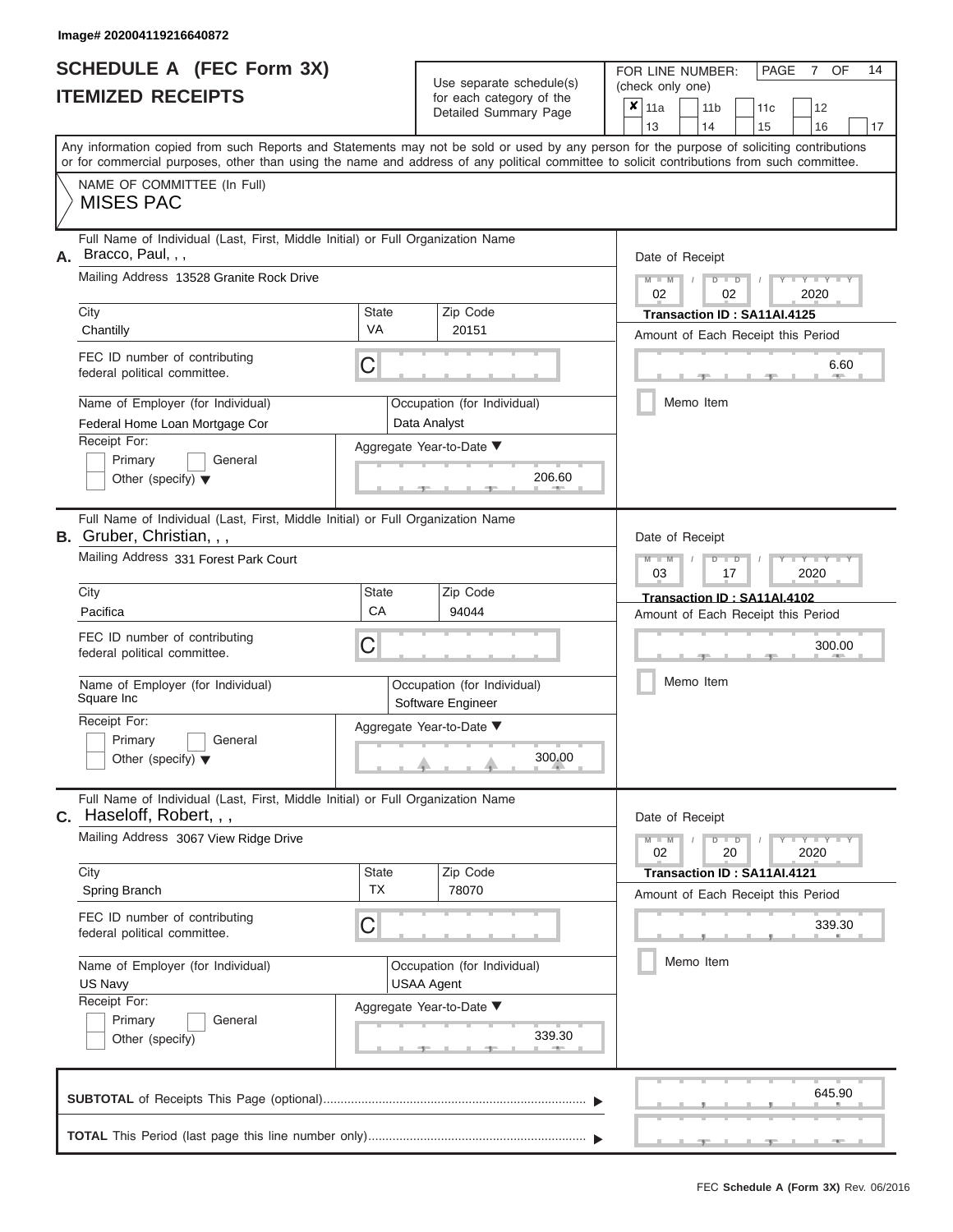|                          | <b>SCHEDULE A (FEC Form 3X)</b> |
|--------------------------|---------------------------------|
| <b>ITEMIZED RECEIPTS</b> |                                 |

Use separate schedule(s)

FOR LINE NUMBER: PAGE<br>
(check only one)

7 OF 14

|                                                     | IIEMIZEU REVEIFIJ                                                                                                                                                                                                                                                                       |              | for each category of the                         | × | 11a             |           | 11 <sub>b</sub>      |  | 11c                                |      | 12                  |    |  |  |
|-----------------------------------------------------|-----------------------------------------------------------------------------------------------------------------------------------------------------------------------------------------------------------------------------------------------------------------------------------------|--------------|--------------------------------------------------|---|-----------------|-----------|----------------------|--|------------------------------------|------|---------------------|----|--|--|
|                                                     |                                                                                                                                                                                                                                                                                         |              | Detailed Summary Page                            |   | 13              |           | 14                   |  | 15                                 |      | 16                  | 17 |  |  |
|                                                     | Any information copied from such Reports and Statements may not be sold or used by any person for the purpose of soliciting contributions<br>or for commercial purposes, other than using the name and address of any political committee to solicit contributions from such committee. |              |                                                  |   |                 |           |                      |  |                                    |      |                     |    |  |  |
|                                                     | NAME OF COMMITTEE (In Full)<br><b>MISES PAC</b>                                                                                                                                                                                                                                         |              |                                                  |   |                 |           |                      |  |                                    |      |                     |    |  |  |
| А.                                                  | Full Name of Individual (Last, First, Middle Initial) or Full Organization Name<br>Bracco, Paul, , ,                                                                                                                                                                                    |              |                                                  |   | Date of Receipt |           |                      |  |                                    |      |                     |    |  |  |
|                                                     | Mailing Address 13528 Granite Rock Drive                                                                                                                                                                                                                                                |              |                                                  |   | $M - M$<br>02   |           | $D$ $D$<br>02        |  |                                    |      | $Y - Y - Y$<br>2020 |    |  |  |
|                                                     | City                                                                                                                                                                                                                                                                                    | <b>State</b> | Zip Code                                         |   |                 |           |                      |  | Transaction ID: SA11AI.4125        |      |                     |    |  |  |
|                                                     | Chantilly                                                                                                                                                                                                                                                                               | VA           | 20151                                            |   |                 |           |                      |  | Amount of Each Receipt this Period |      |                     |    |  |  |
|                                                     | FEC ID number of contributing<br>federal political committee.                                                                                                                                                                                                                           | C            |                                                  |   | 6.60            |           |                      |  |                                    |      |                     |    |  |  |
|                                                     | Name of Employer (for Individual)<br>Federal Home Loan Mortgage Cor                                                                                                                                                                                                                     |              | Occupation (for Individual)<br>Data Analyst      |   |                 |           | Memo Item            |  |                                    |      |                     |    |  |  |
|                                                     | Receipt For:                                                                                                                                                                                                                                                                            |              | Aggregate Year-to-Date ▼                         |   |                 |           |                      |  |                                    |      |                     |    |  |  |
|                                                     | Primary<br>General<br>Other (specify) $\blacktriangledown$                                                                                                                                                                                                                              |              | 206.60                                           |   |                 |           |                      |  |                                    |      |                     |    |  |  |
|                                                     | Full Name of Individual (Last, First, Middle Initial) or Full Organization Name<br><b>B.</b> Gruber, Christian, , ,                                                                                                                                                                     |              |                                                  |   | Date of Receipt |           |                      |  |                                    |      |                     |    |  |  |
|                                                     | Mailing Address 331 Forest Park Court                                                                                                                                                                                                                                                   |              |                                                  |   | $M - M$<br>03   |           | $D$ $D$<br>17        |  |                                    | 2020 | Y TYT               |    |  |  |
|                                                     | City                                                                                                                                                                                                                                                                                    | <b>State</b> | Zip Code                                         |   |                 |           |                      |  | Transaction ID: SA11AI.4102        |      |                     |    |  |  |
|                                                     | Pacifica                                                                                                                                                                                                                                                                                | CA           | 94044                                            |   |                 |           |                      |  | Amount of Each Receipt this Period |      |                     |    |  |  |
|                                                     | FEC ID number of contributing<br>federal political committee.                                                                                                                                                                                                                           | C            | Occupation (for Individual)<br>Software Engineer |   |                 |           | 300.00               |  |                                    |      |                     |    |  |  |
|                                                     | Name of Employer (for Individual)<br>Square Inc                                                                                                                                                                                                                                         |              |                                                  |   |                 |           | Memo Item            |  |                                    |      |                     |    |  |  |
|                                                     | Receipt For:<br>Primary<br>General<br>Other (specify) $\blacktriangledown$                                                                                                                                                                                                              |              | Aggregate Year-to-Date ▼<br>300.00               |   |                 |           |                      |  |                                    |      |                     |    |  |  |
| С.                                                  | Full Name of Individual (Last, First, Middle Initial) or Full Organization Name<br>Haseloff, Robert, , ,                                                                                                                                                                                |              |                                                  |   | Date of Receipt |           |                      |  |                                    |      |                     |    |  |  |
|                                                     | Mailing Address 3067 View Ridge Drive                                                                                                                                                                                                                                                   |              |                                                  |   | $M - M$<br>02   |           | $D$ $\Box$ $D$<br>20 |  |                                    | 2020 | $Y = Y = Y + Y$     |    |  |  |
|                                                     | City                                                                                                                                                                                                                                                                                    | <b>State</b> | Zip Code                                         |   |                 |           |                      |  | Transaction ID: SA11AI.4121        |      |                     |    |  |  |
|                                                     | Spring Branch                                                                                                                                                                                                                                                                           | <b>TX</b>    | 78070                                            |   |                 |           |                      |  | Amount of Each Receipt this Period |      |                     |    |  |  |
|                                                     | FEC ID number of contributing<br>federal political committee.                                                                                                                                                                                                                           | C            |                                                  |   |                 |           |                      |  |                                    |      | 339.30              |    |  |  |
| Name of Employer (for Individual)<br><b>US Navy</b> |                                                                                                                                                                                                                                                                                         |              | Occupation (for Individual)<br><b>USAA Agent</b> |   |                 | Memo Item |                      |  |                                    |      |                     |    |  |  |
|                                                     | Receipt For:                                                                                                                                                                                                                                                                            |              | Aggregate Year-to-Date ▼                         |   |                 |           |                      |  |                                    |      |                     |    |  |  |
|                                                     | Primary<br>General<br>Other (specify)                                                                                                                                                                                                                                                   |              | 339.30<br>A                                      |   |                 |           |                      |  |                                    |      |                     |    |  |  |
|                                                     |                                                                                                                                                                                                                                                                                         |              |                                                  |   |                 |           |                      |  |                                    |      | 645.90              |    |  |  |
|                                                     |                                                                                                                                                                                                                                                                                         |              |                                                  |   |                 |           |                      |  |                                    |      |                     |    |  |  |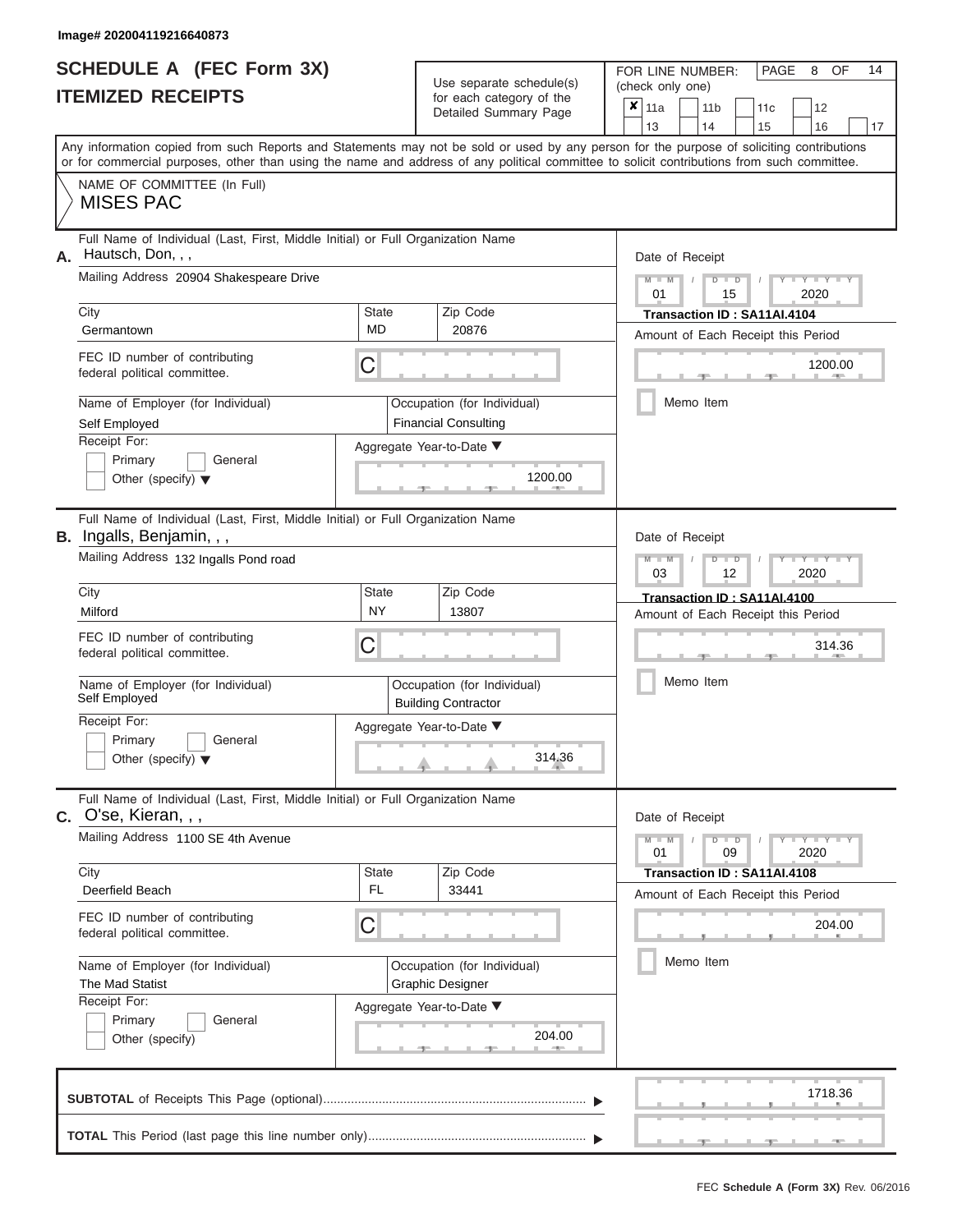|                          | <b>SCHEDULE A (FEC Form 3X)</b> |
|--------------------------|---------------------------------|
| <b>ITEMIZED RECEIPTS</b> |                                 |

Use separate schedule(s)<br>for each category of the

FOR LINE NUMBER:<br>(check only one)

PAGE 8 OF 14

|                                                                                                                                                                                                                                                                                         |              | ioi odon odlogory or lik<br>Detailed Summary Page          | × | 11a             |  | 11 <sub>b</sub>             | 11c | 12                                 |    |  |  |
|-----------------------------------------------------------------------------------------------------------------------------------------------------------------------------------------------------------------------------------------------------------------------------------------|--------------|------------------------------------------------------------|---|-----------------|--|-----------------------------|-----|------------------------------------|----|--|--|
|                                                                                                                                                                                                                                                                                         |              |                                                            |   | 13              |  | 14                          | 15  | 16                                 | 17 |  |  |
| Any information copied from such Reports and Statements may not be sold or used by any person for the purpose of soliciting contributions<br>or for commercial purposes, other than using the name and address of any political committee to solicit contributions from such committee. |              |                                                            |   |                 |  |                             |     |                                    |    |  |  |
| NAME OF COMMITTEE (In Full)<br><b>MISES PAC</b>                                                                                                                                                                                                                                         |              |                                                            |   |                 |  |                             |     |                                    |    |  |  |
| Full Name of Individual (Last, First, Middle Initial) or Full Organization Name<br>Hautsch, Don, , ,<br>А.                                                                                                                                                                              |              |                                                            |   | Date of Receipt |  |                             |     |                                    |    |  |  |
| Mailing Address 20904 Shakespeare Drive                                                                                                                                                                                                                                                 |              |                                                            |   | $M - M$<br>01   |  | $D$ $D$<br>15               |     | $Y - Y$<br>2020                    |    |  |  |
| City                                                                                                                                                                                                                                                                                    | State        | Zip Code                                                   |   |                 |  | Transaction ID: SA11AI.4104 |     |                                    |    |  |  |
| Germantown                                                                                                                                                                                                                                                                              | <b>MD</b>    | 20876                                                      |   |                 |  |                             |     | Amount of Each Receipt this Period |    |  |  |
| FEC ID number of contributing<br>federal political committee.                                                                                                                                                                                                                           | С            |                                                            |   |                 |  |                             |     | 1200.00<br><b>AND I</b>            |    |  |  |
| Name of Employer (for Individual)<br>Self Employed                                                                                                                                                                                                                                      |              | Occupation (for Individual)<br><b>Financial Consulting</b> |   |                 |  | Memo Item                   |     |                                    |    |  |  |
| Receipt For:                                                                                                                                                                                                                                                                            |              | Aggregate Year-to-Date ▼                                   |   |                 |  |                             |     |                                    |    |  |  |
| Primary<br>General<br>Other (specify) $\blacktriangledown$                                                                                                                                                                                                                              |              | 1200.00                                                    |   |                 |  |                             |     |                                    |    |  |  |
| Full Name of Individual (Last, First, Middle Initial) or Full Organization Name<br>B. Ingalls, Benjamin, , ,                                                                                                                                                                            |              |                                                            |   | Date of Receipt |  |                             |     |                                    |    |  |  |
| Mailing Address 132 Ingalls Pond road                                                                                                                                                                                                                                                   |              |                                                            |   | $M - M$<br>03   |  | $D$ $D$<br>12               |     | Y TY<br>2020                       |    |  |  |
| City                                                                                                                                                                                                                                                                                    | <b>State</b> | Zip Code                                                   |   |                 |  | Transaction ID: SA11AI.4100 |     |                                    |    |  |  |
| Milford                                                                                                                                                                                                                                                                                 | <b>NY</b>    | 13807                                                      |   |                 |  |                             |     | Amount of Each Receipt this Period |    |  |  |
| FEC ID number of contributing<br>federal political committee.                                                                                                                                                                                                                           | С            |                                                            |   |                 |  | 314.36                      |     |                                    |    |  |  |
| Name of Employer (for Individual)<br>Self Employed                                                                                                                                                                                                                                      |              | Occupation (for Individual)<br><b>Building Contractor</b>  |   |                 |  |                             |     |                                    |    |  |  |
| Receipt For:<br>Primary<br>General<br>Other (specify) $\blacktriangledown$                                                                                                                                                                                                              |              | Aggregate Year-to-Date ▼<br>314.36                         |   |                 |  |                             |     |                                    |    |  |  |
| Full Name of Individual (Last, First, Middle Initial) or Full Organization Name<br>$C.$ O'se, Kieran, , ,                                                                                                                                                                               |              |                                                            |   | Date of Receipt |  |                             |     |                                    |    |  |  |
| Mailing Address 1100 SE 4th Avenue                                                                                                                                                                                                                                                      |              |                                                            |   | $M - M$<br>01   |  | $D$ $D$<br>09               |     | $  \gamma$ $  \gamma$ $ -$<br>2020 |    |  |  |
| City                                                                                                                                                                                                                                                                                    | <b>State</b> | Zip Code                                                   |   |                 |  | Transaction ID: SA11AI.4108 |     |                                    |    |  |  |
| Deerfield Beach                                                                                                                                                                                                                                                                         | FL.          | 33441                                                      |   |                 |  |                             |     | Amount of Each Receipt this Period |    |  |  |
| FEC ID number of contributing<br>federal political committee.                                                                                                                                                                                                                           | С            |                                                            |   |                 |  |                             |     | 204.00                             |    |  |  |
| Name of Employer (for Individual)<br>The Mad Statist                                                                                                                                                                                                                                    |              | Occupation (for Individual)<br><b>Graphic Designer</b>     |   |                 |  | Memo Item                   |     |                                    |    |  |  |
| Receipt For:                                                                                                                                                                                                                                                                            |              | Aggregate Year-to-Date ▼                                   |   |                 |  |                             |     |                                    |    |  |  |
| Primary<br>General<br>Other (specify)                                                                                                                                                                                                                                                   |              | 204.00<br>$-1$                                             |   |                 |  |                             |     |                                    |    |  |  |
|                                                                                                                                                                                                                                                                                         |              |                                                            |   |                 |  |                             |     | 1718.36                            |    |  |  |
|                                                                                                                                                                                                                                                                                         |              |                                                            |   |                 |  |                             |     |                                    |    |  |  |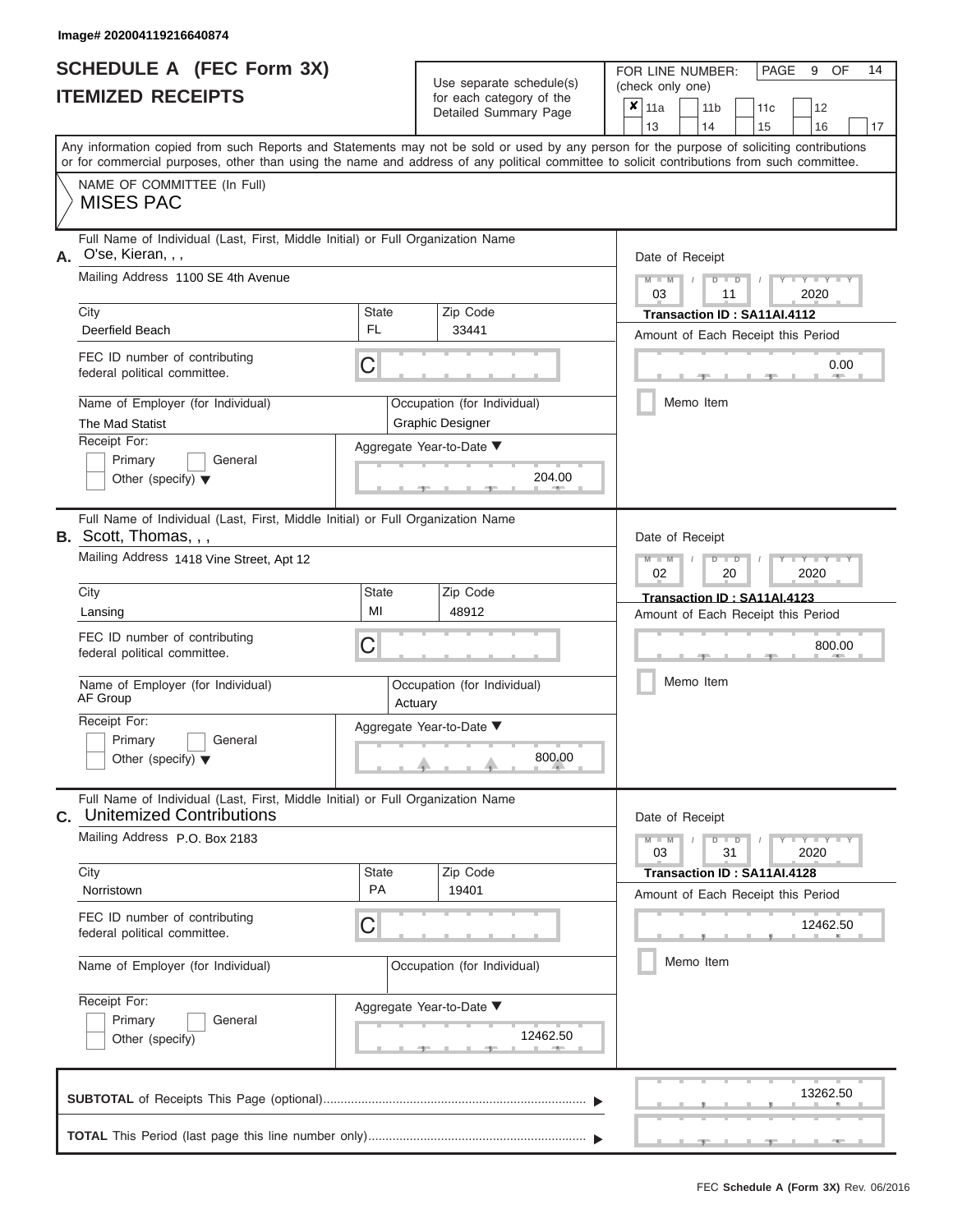# **SCHEDULE A (FEC Form 3X)**

 $Use$  separate schedule(s)

FOR LINE NUMBER:

PAGE 9 OF 14

| <b>ITEMIZED RECEIPTS</b>                                                                                                                                                                                                                                                                                                                                                        | OSC SCRUIGIC SUICUUICISI<br>for each category of the<br>Detailed Summary Page                                                                | (Check only one)<br>$x \mid$ 11a<br>11 <sub>b</sub><br>12<br>11c<br>13<br>14<br>16<br>15<br>17                                                                                           |
|---------------------------------------------------------------------------------------------------------------------------------------------------------------------------------------------------------------------------------------------------------------------------------------------------------------------------------------------------------------------------------|----------------------------------------------------------------------------------------------------------------------------------------------|------------------------------------------------------------------------------------------------------------------------------------------------------------------------------------------|
| Any information copied from such Reports and Statements may not be sold or used by any person for the purpose of soliciting contributions<br>or for commercial purposes, other than using the name and address of any political committee to solicit contributions from such committee.                                                                                         |                                                                                                                                              |                                                                                                                                                                                          |
| NAME OF COMMITTEE (In Full)<br><b>MISES PAC</b>                                                                                                                                                                                                                                                                                                                                 |                                                                                                                                              |                                                                                                                                                                                          |
| Full Name of Individual (Last, First, Middle Initial) or Full Organization Name<br>A. O'se, Kieran, , ,<br>Mailing Address 1100 SE 4th Avenue<br>City<br>Deerfield Beach<br>FEC ID number of contributing<br>federal political committee.<br>Name of Employer (for Individual)<br>The Mad Statist<br>Receipt For:<br>Primary<br>General<br>Other (specify) $\blacktriangledown$ | State<br>Zip Code<br><b>FL</b><br>33441<br>C<br>Occupation (for Individual)<br><b>Graphic Designer</b><br>Aggregate Year-to-Date ▼<br>204.00 | Date of Receipt<br>$\Box$<br>D<br>2020<br>03<br>11<br>Transaction ID: SA11AI.4112<br>Amount of Each Receipt this Period<br>0.00<br><b>ARCHITECT</b><br>Memo Item                         |
| Full Name of Individual (Last, First, Middle Initial) or Full Organization Name<br><b>B.</b> Scott, Thomas, , ,<br>Mailing Address 1418 Vine Street, Apt 12<br>City<br>Lansing<br>FEC ID number of contributing<br>federal political committee.<br>Name of Employer (for Individual)<br>AF Group<br>Receipt For:<br>Primary<br>General<br>Other (specify) $\blacktriangledown$  | State<br>Zip Code<br>MI<br>48912<br>С<br>Occupation (for Individual)<br>Actuary<br>Aggregate Year-to-Date ▼<br>800.00                        | Date of Receipt<br>$D$ $D$<br>Y Y<br>$M - M$<br>2020<br>02<br>20<br>Transaction ID: SA11AI.4123<br>Amount of Each Receipt this Period<br>800.00<br>Memo Item                             |
| Full Name of Individual (Last, First, Middle Initial) or Full Organization Name<br><b>Unitemized Contributions</b><br>С.<br>Mailing Address P.O. Box 2183<br>City<br>Norristown<br>FEC ID number of contributing<br>federal political committee.<br>Name of Employer (for Individual)<br>Receipt For:<br>Primary<br>General<br>Other (specify)                                  | Zip Code<br><b>State</b><br>PA<br>19401<br>C<br>Occupation (for Individual)<br>Aggregate Year-to-Date ▼<br>12462.50                          | Date of Receipt<br>$-Y - Y - Y$<br>$M - M$<br>$\Box$<br>$\overline{D}$<br>31<br>03<br>2020<br>Transaction ID: SA11AI.4128<br>Amount of Each Receipt this Period<br>12462.50<br>Memo Item |
|                                                                                                                                                                                                                                                                                                                                                                                 |                                                                                                                                              | 13262.50                                                                                                                                                                                 |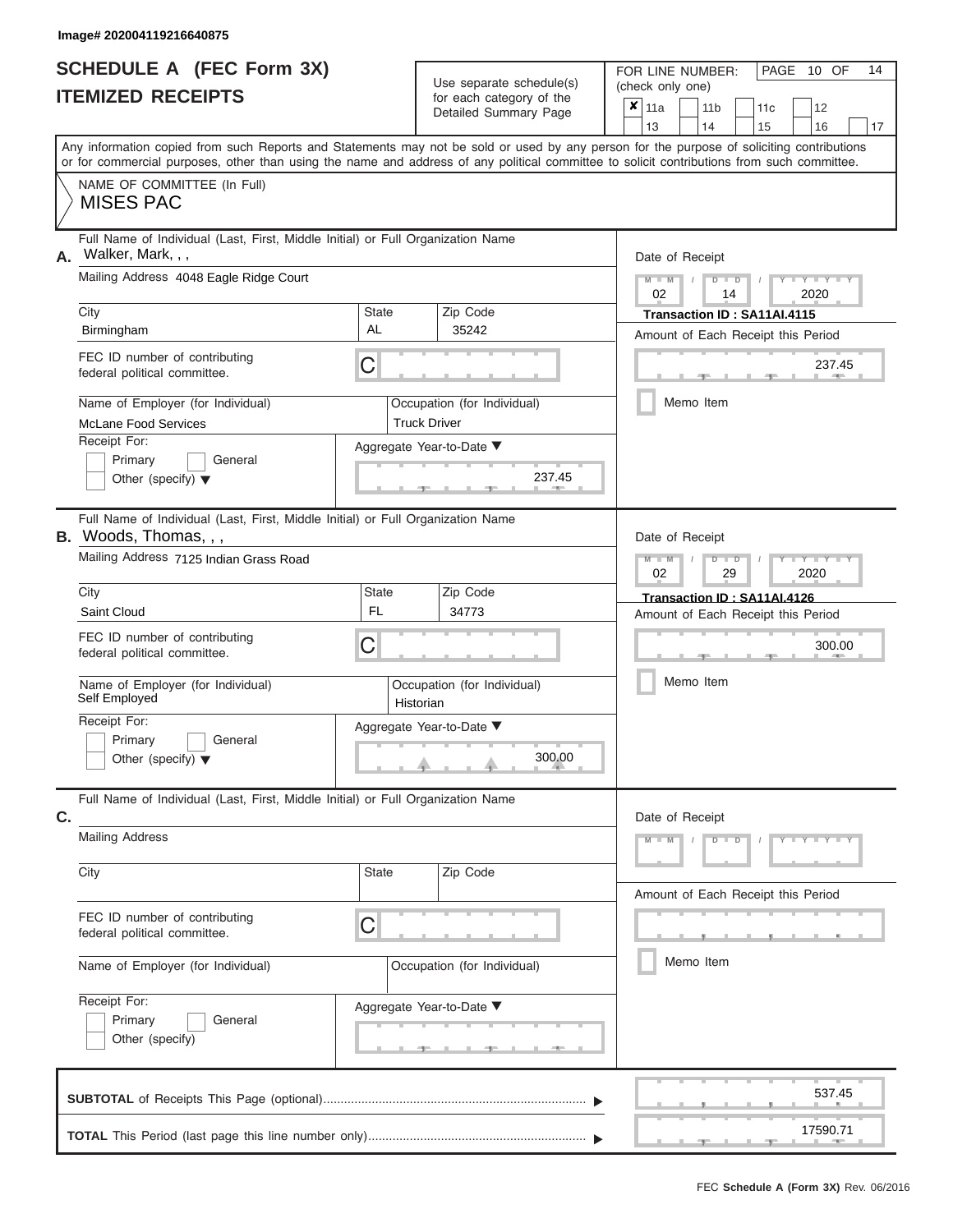| <b>SCHEDULE A (FEC Form 3X)</b> |  |  |
|---------------------------------|--|--|
| <b>ITEMIZED RECEIPTS</b>        |  |  |

Use separate schedule(s)<br>for each category of the

FOR LINE NUMBER:<br>(check only one)

PAGE 10 OF 14

|                                                                                                                                                                                                                                                                                         |                          |                                                | badii balogory of life<br>Detailed Summary Page | X.     | 11a<br>13       |  | 11 <sub>b</sub><br>14 | 11c                                            | 12<br>16                           |    |  |  |  |  |
|-----------------------------------------------------------------------------------------------------------------------------------------------------------------------------------------------------------------------------------------------------------------------------------------|--------------------------|------------------------------------------------|-------------------------------------------------|--------|-----------------|--|-----------------------|------------------------------------------------|------------------------------------|----|--|--|--|--|
| Any information copied from such Reports and Statements may not be sold or used by any person for the purpose of soliciting contributions<br>or for commercial purposes, other than using the name and address of any political committee to solicit contributions from such committee. |                          |                                                |                                                 |        |                 |  |                       | 15                                             |                                    | 17 |  |  |  |  |
| NAME OF COMMITTEE (In Full)<br><b>MISES PAC</b>                                                                                                                                                                                                                                         |                          |                                                |                                                 |        |                 |  |                       |                                                |                                    |    |  |  |  |  |
| Full Name of Individual (Last, First, Middle Initial) or Full Organization Name<br>Walker, Mark, , ,<br>А.                                                                                                                                                                              |                          |                                                |                                                 |        | Date of Receipt |  |                       |                                                |                                    |    |  |  |  |  |
| Mailing Address 4048 Eagle Ridge Court                                                                                                                                                                                                                                                  |                          | $M - M$<br>$D$ $D$<br>Y TY<br>02<br>2020<br>14 |                                                 |        |                 |  |                       |                                                |                                    |    |  |  |  |  |
| City                                                                                                                                                                                                                                                                                    | <b>State</b><br>AL       |                                                | Zip Code<br>35242                               |        |                 |  |                       | Transaction ID: SA11AI.4115                    |                                    |    |  |  |  |  |
| Birmingham                                                                                                                                                                                                                                                                              |                          |                                                |                                                 |        |                 |  |                       |                                                | Amount of Each Receipt this Period |    |  |  |  |  |
| FEC ID number of contributing<br>federal political committee.                                                                                                                                                                                                                           | С                        |                                                |                                                 |        |                 |  |                       |                                                | 237.45                             |    |  |  |  |  |
| Name of Employer (for Individual)<br><b>McLane Food Services</b>                                                                                                                                                                                                                        |                          | <b>Truck Driver</b>                            | Occupation (for Individual)                     |        |                 |  | Memo Item             |                                                |                                    |    |  |  |  |  |
| Receipt For:                                                                                                                                                                                                                                                                            | Aggregate Year-to-Date ▼ |                                                |                                                 |        |                 |  |                       |                                                |                                    |    |  |  |  |  |
| Primary<br>General<br>Other (specify) $\blacktriangledown$                                                                                                                                                                                                                              |                          |                                                | 237.45                                          |        |                 |  |                       |                                                |                                    |    |  |  |  |  |
| Full Name of Individual (Last, First, Middle Initial) or Full Organization Name<br><b>B.</b> Woods, Thomas, , ,                                                                                                                                                                         |                          |                                                |                                                 |        | Date of Receipt |  |                       |                                                |                                    |    |  |  |  |  |
| Mailing Address 7125 Indian Grass Road                                                                                                                                                                                                                                                  |                          |                                                |                                                 |        |                 |  |                       | $M - M$<br>$D$ $D$<br>Y TY<br>2020<br>02<br>29 |                                    |    |  |  |  |  |
| City                                                                                                                                                                                                                                                                                    | <b>State</b>             |                                                | Zip Code                                        |        |                 |  |                       | Transaction ID: SA11AI.4126                    |                                    |    |  |  |  |  |
| Saint Cloud                                                                                                                                                                                                                                                                             | <b>FL</b>                |                                                | 34773                                           |        |                 |  |                       |                                                | Amount of Each Receipt this Period |    |  |  |  |  |
| FEC ID number of contributing<br>federal political committee.                                                                                                                                                                                                                           | С                        |                                                |                                                 | 300.00 |                 |  |                       |                                                |                                    |    |  |  |  |  |
| Name of Employer (for Individual)<br>Self Employed                                                                                                                                                                                                                                      |                          | Historian                                      | Occupation (for Individual)                     |        |                 |  | Memo Item             |                                                |                                    |    |  |  |  |  |
| Receipt For:                                                                                                                                                                                                                                                                            | Aggregate Year-to-Date ▼ |                                                |                                                 |        |                 |  |                       |                                                |                                    |    |  |  |  |  |
| Primary<br>General<br>Other (specify) $\blacktriangledown$                                                                                                                                                                                                                              |                          |                                                | 300.00                                          |        |                 |  |                       |                                                |                                    |    |  |  |  |  |
| Full Name of Individual (Last, First, Middle Initial) or Full Organization Name<br>C.                                                                                                                                                                                                   |                          |                                                |                                                 |        | Date of Receipt |  |                       |                                                |                                    |    |  |  |  |  |
| <b>Mailing Address</b>                                                                                                                                                                                                                                                                  |                          |                                                |                                                 |        |                 |  |                       | $M - M$<br>$D$ $D$<br>Y FYLY LY                |                                    |    |  |  |  |  |
| City                                                                                                                                                                                                                                                                                    | State                    |                                                | Zip Code                                        |        |                 |  |                       |                                                | Amount of Each Receipt this Period |    |  |  |  |  |
| FEC ID number of contributing<br>federal political committee.                                                                                                                                                                                                                           | С                        |                                                |                                                 |        |                 |  |                       |                                                |                                    |    |  |  |  |  |
| Name of Employer (for Individual)                                                                                                                                                                                                                                                       |                          |                                                | Occupation (for Individual)                     |        | Memo Item       |  |                       |                                                |                                    |    |  |  |  |  |
| Receipt For:                                                                                                                                                                                                                                                                            | Aggregate Year-to-Date ▼ |                                                |                                                 |        |                 |  |                       |                                                |                                    |    |  |  |  |  |
| General<br>Primary<br>Other (specify)                                                                                                                                                                                                                                                   |                          |                                                |                                                 |        |                 |  |                       |                                                |                                    |    |  |  |  |  |
|                                                                                                                                                                                                                                                                                         |                          |                                                |                                                 |        |                 |  |                       |                                                | 537.45                             |    |  |  |  |  |
|                                                                                                                                                                                                                                                                                         |                          |                                                |                                                 |        |                 |  |                       | - 7 -                                          | 17590.71                           |    |  |  |  |  |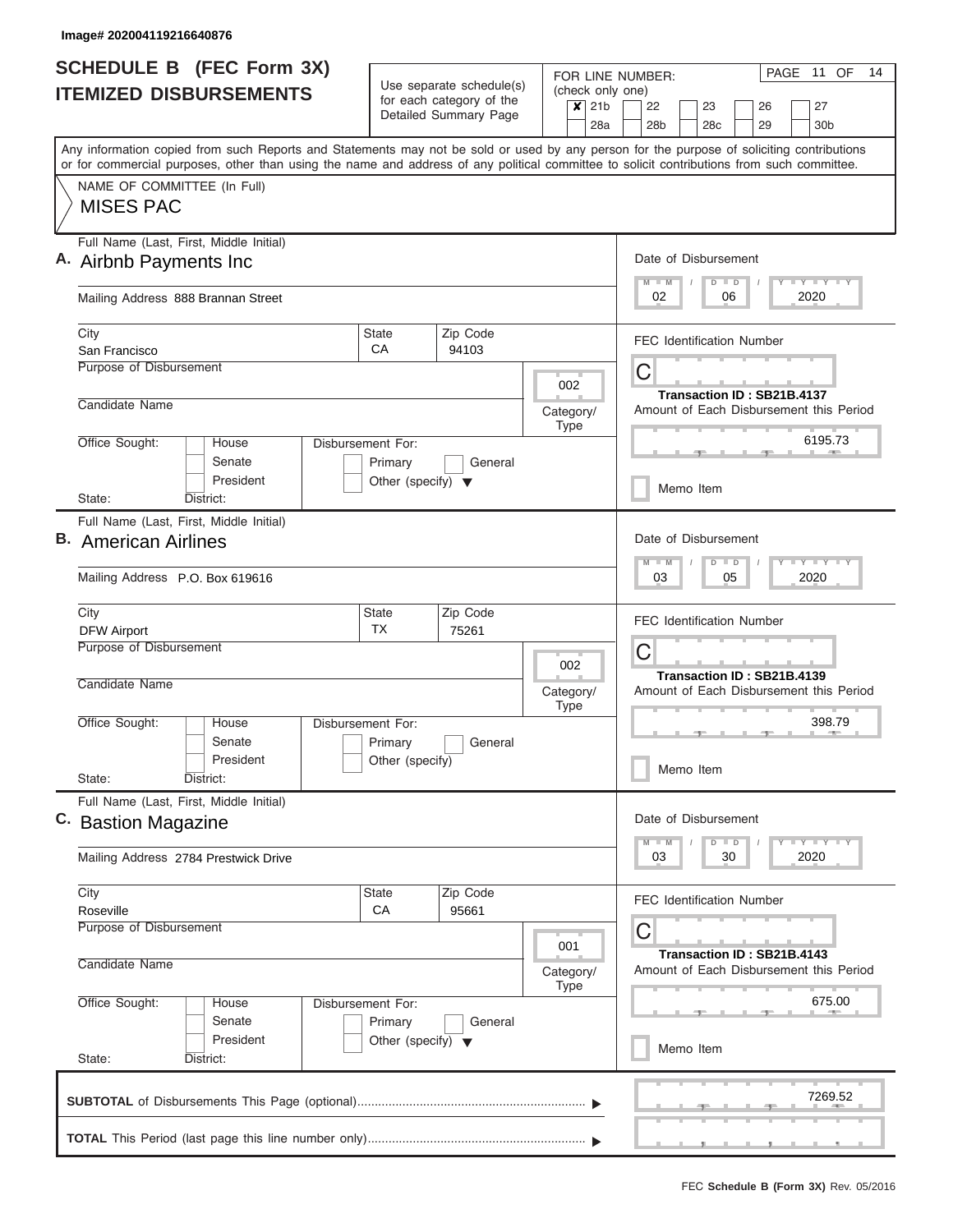|                               | <b>SCHEDULE B</b> (FEC Form 3X)                                                                                                            |                                                      |                       |           |                         | 11 OF<br>14<br>PAGE<br>FOR LINE NUMBER: |                                                                       |                                                      |               |  |                            |    |                                         |
|-------------------------------|--------------------------------------------------------------------------------------------------------------------------------------------|------------------------------------------------------|-----------------------|-----------|-------------------------|-----------------------------------------|-----------------------------------------------------------------------|------------------------------------------------------|---------------|--|----------------------------|----|-----------------------------------------|
| <b>ITEMIZED DISBURSEMENTS</b> |                                                                                                                                            | Use separate schedule(s)<br>for each category of the |                       |           | $\overline{\mathbf{x}}$ | 21 <sub>b</sub>                         | (check only one)<br>22<br>23<br>26                                    |                                                      |               |  |                            | 27 |                                         |
|                               |                                                                                                                                            |                                                      | Detailed Summary Page |           |                         | 28a                                     | 28 <sub>b</sub>                                                       |                                                      | 28c           |  | 29                         |    | 30 <sub>b</sub>                         |
|                               | Any information copied from such Reports and Statements may not be sold or used by any person for the purpose of soliciting contributions  |                                                      |                       |           |                         |                                         |                                                                       |                                                      |               |  |                            |    |                                         |
|                               | or for commercial purposes, other than using the name and address of any political committee to solicit contributions from such committee. |                                                      |                       |           |                         |                                         |                                                                       |                                                      |               |  |                            |    |                                         |
|                               | NAME OF COMMITTEE (In Full)                                                                                                                |                                                      |                       |           |                         |                                         |                                                                       |                                                      |               |  |                            |    |                                         |
|                               | <b>MISES PAC</b>                                                                                                                           |                                                      |                       |           |                         |                                         |                                                                       |                                                      |               |  |                            |    |                                         |
|                               | Full Name (Last, First, Middle Initial)                                                                                                    |                                                      |                       |           |                         |                                         |                                                                       |                                                      |               |  |                            |    |                                         |
|                               | A. Airbnb Payments Inc.                                                                                                                    |                                                      |                       |           |                         |                                         | Date of Disbursement                                                  |                                                      |               |  |                            |    |                                         |
|                               | Mailing Address 888 Brannan Street                                                                                                         |                                                      |                       |           |                         |                                         | Y LY LY LY<br>$M$ $M$<br>$D$ $D$<br>02<br>06<br>2020                  |                                                      |               |  |                            |    |                                         |
|                               | City                                                                                                                                       | <b>State</b>                                         | Zip Code              |           |                         |                                         | <b>FEC Identification Number</b>                                      |                                                      |               |  |                            |    |                                         |
|                               | San Francisco<br>Purpose of Disbursement                                                                                                   | CA                                                   | 94103                 |           |                         |                                         |                                                                       |                                                      |               |  |                            |    |                                         |
|                               |                                                                                                                                            |                                                      |                       |           | 002                     |                                         | С                                                                     |                                                      |               |  |                            |    |                                         |
|                               | Candidate Name                                                                                                                             |                                                      |                       | Category/ |                         |                                         |                                                                       |                                                      |               |  | Transaction ID: SB21B.4137 |    | Amount of Each Disbursement this Period |
|                               |                                                                                                                                            |                                                      |                       |           | <b>Type</b>             |                                         |                                                                       |                                                      |               |  |                            |    |                                         |
|                               | Office Sought:<br>House                                                                                                                    | Disbursement For:                                    |                       |           |                         |                                         | 6195.73                                                               |                                                      |               |  |                            |    |                                         |
|                               | Senate<br>President                                                                                                                        | Primary<br>Other (specify) $\blacktriangledown$      | General               |           |                         |                                         |                                                                       |                                                      |               |  |                            |    |                                         |
|                               | District:<br>State:                                                                                                                        |                                                      |                       |           |                         |                                         |                                                                       |                                                      | Memo Item     |  |                            |    |                                         |
|                               | Full Name (Last, First, Middle Initial)                                                                                                    |                                                      |                       |           |                         |                                         |                                                                       |                                                      |               |  |                            |    |                                         |
|                               | <b>B.</b> American Airlines                                                                                                                |                                                      |                       |           |                         |                                         | Date of Disbursement                                                  |                                                      |               |  |                            |    |                                         |
|                               | Mailing Address P.O. Box 619616                                                                                                            |                                                      |                       |           |                         |                                         |                                                                       | Y FY FY FY<br>$M - M$<br>$D$ $D$<br>05<br>2020<br>03 |               |  |                            |    |                                         |
|                               | City                                                                                                                                       | State<br><b>TX</b>                                   | Zip Code<br>75261     |           |                         |                                         | <b>FEC Identification Number</b><br>C                                 |                                                      |               |  |                            |    |                                         |
|                               | <b>DFW Airport</b><br>Purpose of Disbursement                                                                                              |                                                      |                       |           |                         |                                         |                                                                       |                                                      |               |  |                            |    |                                         |
|                               |                                                                                                                                            |                                                      |                       |           | 002                     |                                         | Transaction ID: SB21B.4139                                            |                                                      |               |  |                            |    |                                         |
|                               | Candidate Name                                                                                                                             |                                                      |                       | Category/ | <b>Type</b>             |                                         | Amount of Each Disbursement this Period                               |                                                      |               |  |                            |    |                                         |
|                               | Office Sought:<br>House                                                                                                                    | Disbursement For:                                    |                       |           |                         |                                         | 398.79                                                                |                                                      |               |  |                            |    |                                         |
|                               | Senate                                                                                                                                     | Primary<br>General                                   |                       |           |                         |                                         |                                                                       |                                                      |               |  |                            |    |                                         |
|                               | President<br>State:<br>District:                                                                                                           | Other (specify)                                      |                       |           |                         |                                         |                                                                       |                                                      | Memo Item     |  |                            |    |                                         |
|                               | Full Name (Last, First, Middle Initial)                                                                                                    |                                                      |                       |           |                         |                                         |                                                                       |                                                      |               |  |                            |    |                                         |
|                               | C. Bastion Magazine                                                                                                                        |                                                      |                       |           |                         |                                         | Date of Disbursement                                                  |                                                      |               |  |                            |    |                                         |
|                               | Mailing Address 2784 Prestwick Drive                                                                                                       |                                                      |                       |           |                         |                                         | $M - M$<br>03                                                         |                                                      | $D$ $D$<br>30 |  |                            |    | Y FY FY FY<br>2020                      |
|                               | City                                                                                                                                       | State                                                | Zip Code              |           |                         |                                         |                                                                       |                                                      |               |  |                            |    |                                         |
|                               | Roseville                                                                                                                                  | CA                                                   | 95661                 |           |                         |                                         | <b>FEC Identification Number</b>                                      |                                                      |               |  |                            |    |                                         |
|                               | Purpose of Disbursement                                                                                                                    |                                                      |                       |           | 001                     |                                         | C                                                                     |                                                      |               |  |                            |    |                                         |
|                               | Candidate Name<br>Category/                                                                                                                |                                                      |                       |           |                         |                                         | Transaction ID: SB21B.4143<br>Amount of Each Disbursement this Period |                                                      |               |  |                            |    |                                         |
|                               | <b>Type</b><br>Office Sought:<br>Disbursement For:<br>House<br>Senate<br>Primary<br>General                                                |                                                      |                       |           |                         |                                         |                                                                       | 675.00                                               |               |  |                            |    |                                         |
|                               |                                                                                                                                            |                                                      |                       |           |                         |                                         |                                                                       |                                                      |               |  |                            |    |                                         |
|                               | President<br>State:<br>District:                                                                                                           | Other (specify) $\blacktriangledown$                 |                       |           |                         |                                         |                                                                       |                                                      | Memo Item     |  |                            |    |                                         |
|                               |                                                                                                                                            |                                                      |                       |           |                         |                                         |                                                                       |                                                      |               |  |                            |    |                                         |
|                               |                                                                                                                                            |                                                      |                       |           |                         |                                         |                                                                       |                                                      |               |  |                            |    | 7269.52                                 |
|                               |                                                                                                                                            |                                                      |                       |           |                         |                                         |                                                                       |                                                      |               |  |                            |    |                                         |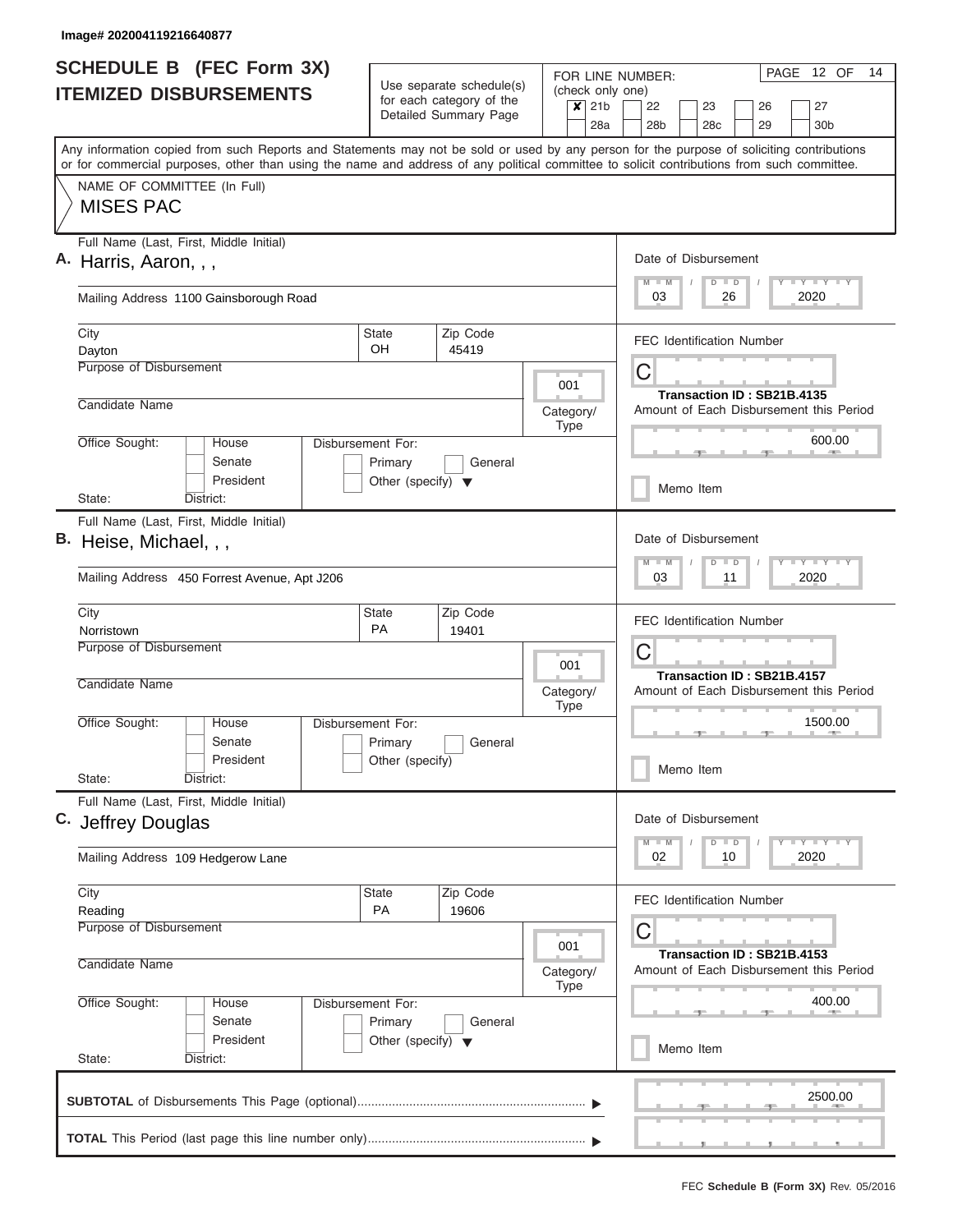| <b>SCHEDULE B</b> (FEC Form 3X)                                                                                                                                                                                                                                                         |                                                                      | Use separate schedule(s)                                    | FOR LINE NUMBER:                   | PAGE 12 OF<br>14                                                        |  |  |  |  |  |
|-----------------------------------------------------------------------------------------------------------------------------------------------------------------------------------------------------------------------------------------------------------------------------------------|----------------------------------------------------------------------|-------------------------------------------------------------|------------------------------------|-------------------------------------------------------------------------|--|--|--|--|--|
| <b>ITEMIZED DISBURSEMENTS</b>                                                                                                                                                                                                                                                           |                                                                      | for each category of the<br>Detailed Summary Page           | (check only one)<br>$x$ 21b<br>28a | 22<br>23<br>26<br>27<br>28 <sub>b</sub><br>28c<br>29<br>30 <sub>b</sub> |  |  |  |  |  |
| Any information copied from such Reports and Statements may not be sold or used by any person for the purpose of soliciting contributions<br>or for commercial purposes, other than using the name and address of any political committee to solicit contributions from such committee. |                                                                      |                                                             |                                    |                                                                         |  |  |  |  |  |
| NAME OF COMMITTEE (In Full)<br><b>MISES PAC</b>                                                                                                                                                                                                                                         |                                                                      |                                                             |                                    |                                                                         |  |  |  |  |  |
| Full Name (Last, First, Middle Initial)<br>A. Harris, Aaron, , ,                                                                                                                                                                                                                        |                                                                      | Date of Disbursement<br>Y L Y L Y L Y<br>$M$ $M$<br>$D$ $D$ |                                    |                                                                         |  |  |  |  |  |
| Mailing Address 1100 Gainsborough Road                                                                                                                                                                                                                                                  |                                                                      |                                                             |                                    | 03<br>26<br>2020                                                        |  |  |  |  |  |
| City<br>Dayton                                                                                                                                                                                                                                                                          | State<br>OH.                                                         | Zip Code<br>45419                                           |                                    | <b>FEC Identification Number</b>                                        |  |  |  |  |  |
| Purpose of Disbursement                                                                                                                                                                                                                                                                 |                                                                      |                                                             | 001                                | C<br>Transaction ID: SB21B.4135                                         |  |  |  |  |  |
| Candidate Name<br>Office Sought:<br>House                                                                                                                                                                                                                                               |                                                                      |                                                             | Category/<br><b>Type</b>           | Amount of Each Disbursement this Period<br>600.00                       |  |  |  |  |  |
| Senate<br>President                                                                                                                                                                                                                                                                     | Disbursement For:<br>Primary<br>Other (specify) $\blacktriangledown$ | General                                                     |                                    | Memo Item                                                               |  |  |  |  |  |
| State:<br>District:<br>Full Name (Last, First, Middle Initial)                                                                                                                                                                                                                          |                                                                      |                                                             |                                    |                                                                         |  |  |  |  |  |
| B. Heise, Michael, , ,                                                                                                                                                                                                                                                                  |                                                                      | Date of Disbursement<br>Y FY FY FY<br>$M - M$<br>$D$ $D$    |                                    |                                                                         |  |  |  |  |  |
| Mailing Address 450 Forrest Avenue, Apt J206                                                                                                                                                                                                                                            |                                                                      | 03<br>11<br>2020                                            |                                    |                                                                         |  |  |  |  |  |
| City<br>Norristown                                                                                                                                                                                                                                                                      | State<br><b>PA</b>                                                   | Zip Code<br>19401                                           |                                    | <b>FEC Identification Number</b>                                        |  |  |  |  |  |
| Purpose of Disbursement                                                                                                                                                                                                                                                                 |                                                                      |                                                             | 001                                | С<br>Transaction ID: SB21B.4157                                         |  |  |  |  |  |
| Candidate Name                                                                                                                                                                                                                                                                          |                                                                      |                                                             | Category/<br>Type                  | Amount of Each Disbursement this Period                                 |  |  |  |  |  |
| Office Sought:<br>House<br>Senate<br>President                                                                                                                                                                                                                                          | Disbursement For:<br>Primary<br>Other (specify)                      | General                                                     |                                    | 1500.00                                                                 |  |  |  |  |  |
| State:<br>District:                                                                                                                                                                                                                                                                     |                                                                      |                                                             |                                    | Memo Item                                                               |  |  |  |  |  |
| Full Name (Last, First, Middle Initial)<br>C. Jeffrey Douglas                                                                                                                                                                                                                           |                                                                      | Date of Disbursement<br>Y FY FY FY<br>$M - M$<br>$D$ $D$    |                                    |                                                                         |  |  |  |  |  |
| Mailing Address 109 Hedgerow Lane                                                                                                                                                                                                                                                       |                                                                      |                                                             | 02<br>2020<br>10                   |                                                                         |  |  |  |  |  |
| City<br>Reading                                                                                                                                                                                                                                                                         | State<br><b>PA</b>                                                   | Zip Code<br>19606                                           |                                    | <b>FEC Identification Number</b>                                        |  |  |  |  |  |
| Purpose of Disbursement                                                                                                                                                                                                                                                                 | 001                                                                  | С<br>Transaction ID: SB21B.4153                             |                                    |                                                                         |  |  |  |  |  |
| Candidate Name                                                                                                                                                                                                                                                                          | Category/<br>Type                                                    | Amount of Each Disbursement this Period                     |                                    |                                                                         |  |  |  |  |  |
| Office Sought:<br>Disbursement For:<br>House                                                                                                                                                                                                                                            |                                                                      | 400.00                                                      |                                    |                                                                         |  |  |  |  |  |
| Senate<br>President                                                                                                                                                                                                                                                                     | Other (specify) $\blacktriangledown$                                 |                                                             |                                    | Memo Item                                                               |  |  |  |  |  |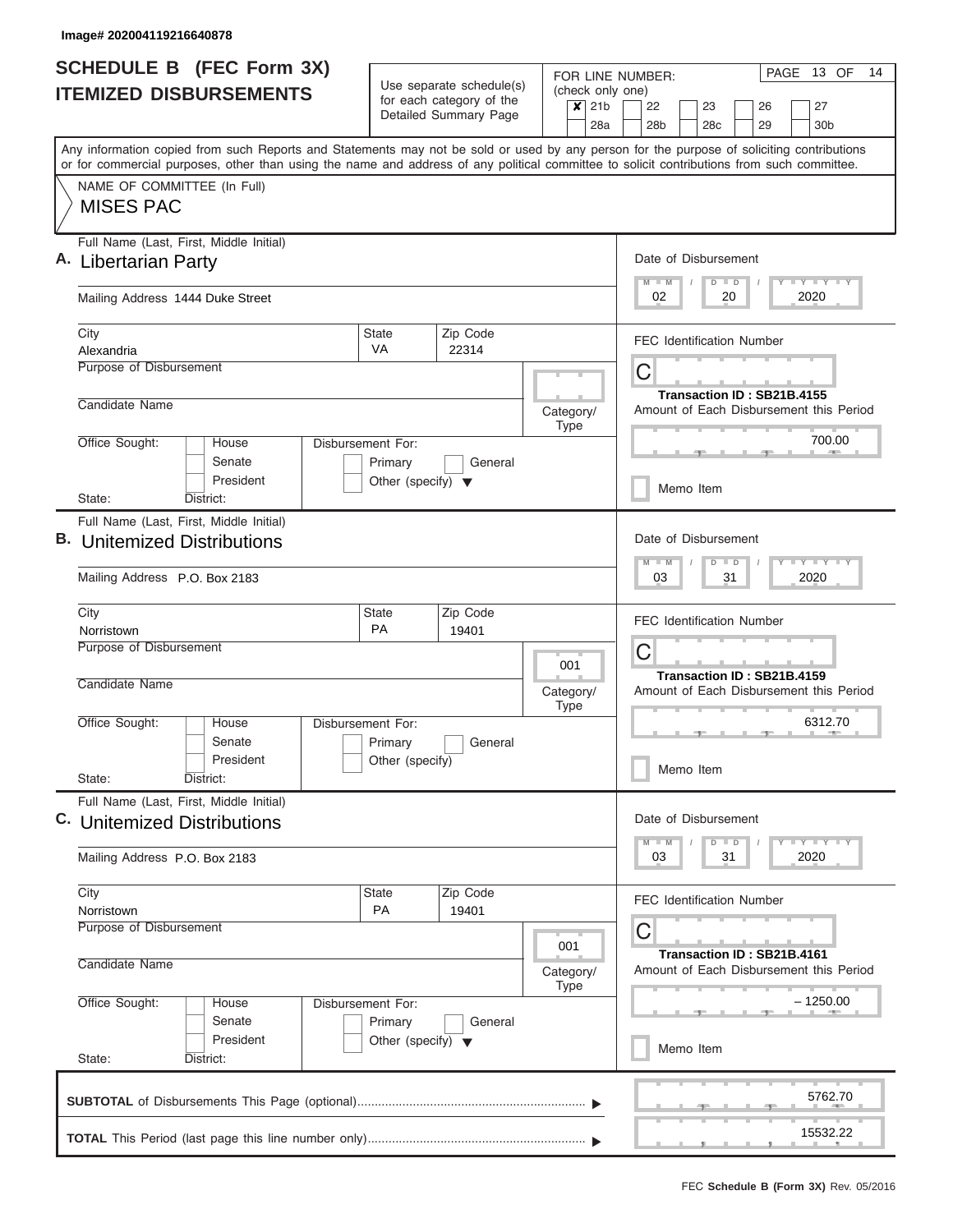|                               | <b>SCHEDULE B</b> (FEC Form 3X)                                                                                                                                                                                                                                                         |                                                                      |                                                      |            |                                 | PAGE 13 OF<br>14<br>FOR LINE NUMBER:                                       |  |  |  |  |
|-------------------------------|-----------------------------------------------------------------------------------------------------------------------------------------------------------------------------------------------------------------------------------------------------------------------------------------|----------------------------------------------------------------------|------------------------------------------------------|------------|---------------------------------|----------------------------------------------------------------------------|--|--|--|--|
| <b>ITEMIZED DISBURSEMENTS</b> |                                                                                                                                                                                                                                                                                         |                                                                      | Use separate schedule(s)<br>for each category of the |            | $x$ 21b                         | (check only one)<br>22<br>23<br>27<br>26                                   |  |  |  |  |
|                               |                                                                                                                                                                                                                                                                                         |                                                                      | Detailed Summary Page                                |            | 28a                             | 30 <sub>b</sub><br>28 <sub>b</sub><br>28c<br>29                            |  |  |  |  |
|                               | Any information copied from such Reports and Statements may not be sold or used by any person for the purpose of soliciting contributions<br>or for commercial purposes, other than using the name and address of any political committee to solicit contributions from such committee. |                                                                      |                                                      |            |                                 |                                                                            |  |  |  |  |
|                               | NAME OF COMMITTEE (In Full)<br><b>MISES PAC</b>                                                                                                                                                                                                                                         |                                                                      |                                                      |            |                                 |                                                                            |  |  |  |  |
|                               | Full Name (Last, First, Middle Initial)<br><b>Libertarian Party</b>                                                                                                                                                                                                                     |                                                                      |                                                      |            |                                 | Date of Disbursement<br>Y FY FY FY<br>$M - M$<br>$D$ $D$                   |  |  |  |  |
|                               | Mailing Address 1444 Duke Street                                                                                                                                                                                                                                                        |                                                                      | 2020<br>02<br>20                                     |            |                                 |                                                                            |  |  |  |  |
|                               | City<br>Alexandria                                                                                                                                                                                                                                                                      | <b>State</b><br>VA                                                   | Zip Code<br>22314                                    |            |                                 | <b>FEC Identification Number</b>                                           |  |  |  |  |
|                               | <b>Purpose of Disbursement</b>                                                                                                                                                                                                                                                          |                                                                      |                                                      |            |                                 | C<br>Transaction ID: SB21B.4155                                            |  |  |  |  |
|                               | Candidate Name                                                                                                                                                                                                                                                                          |                                                                      |                                                      |            | Category/<br><b>Type</b>        | Amount of Each Disbursement this Period<br>700.00                          |  |  |  |  |
|                               | Office Sought:<br>House<br>Senate<br>President                                                                                                                                                                                                                                          | Disbursement For:<br>Primary<br>Other (specify) $\blacktriangledown$ | General                                              |            |                                 | Memo Item                                                                  |  |  |  |  |
|                               | State:<br>District:                                                                                                                                                                                                                                                                     |                                                                      |                                                      |            |                                 |                                                                            |  |  |  |  |
| В.                            | Full Name (Last, First, Middle Initial)<br><b>Unitemized Distributions</b>                                                                                                                                                                                                              |                                                                      |                                                      |            |                                 | Date of Disbursement<br>Y FY FY FY<br>$M - M$<br>$D$ $D$                   |  |  |  |  |
|                               | Mailing Address P.O. Box 2183                                                                                                                                                                                                                                                           |                                                                      | 2020<br>31<br>03                                     |            |                                 |                                                                            |  |  |  |  |
|                               | City<br>Norristown                                                                                                                                                                                                                                                                      | <b>State</b><br>PA                                                   | Zip Code<br>19401                                    |            |                                 | <b>FEC Identification Number</b>                                           |  |  |  |  |
|                               | Purpose of Disbursement                                                                                                                                                                                                                                                                 |                                                                      |                                                      | 001        | C<br>Transaction ID: SB21B.4159 |                                                                            |  |  |  |  |
|                               | Candidate Name                                                                                                                                                                                                                                                                          |                                                                      |                                                      |            |                                 | Amount of Each Disbursement this Period                                    |  |  |  |  |
|                               | Office Sought:<br>House<br>Senate<br>President                                                                                                                                                                                                                                          | Disbursement For:<br>Primary<br>Other (specify)                      | General                                              |            |                                 | 6312.70                                                                    |  |  |  |  |
|                               | State:<br>District:                                                                                                                                                                                                                                                                     |                                                                      |                                                      |            |                                 | Memo Item                                                                  |  |  |  |  |
|                               | Full Name (Last, First, Middle Initial)<br>C. Unitemized Distributions                                                                                                                                                                                                                  |                                                                      |                                                      |            |                                 | Date of Disbursement                                                       |  |  |  |  |
|                               | Mailing Address P.O. Box 2183                                                                                                                                                                                                                                                           |                                                                      |                                                      |            |                                 | Y FY FY FY<br>$M - M$<br>$D$ $D$<br>2020<br>03<br>31                       |  |  |  |  |
|                               | City<br>Norristown                                                                                                                                                                                                                                                                      | State<br><b>PA</b>                                                   | Zip Code<br>19401                                    |            |                                 | <b>FEC Identification Number</b>                                           |  |  |  |  |
|                               | Purpose of Disbursement<br>Candidate Name                                                                                                                                                                                                                                               |                                                                      |                                                      |            | 001<br>Category/<br><b>Type</b> | C<br>Transaction ID: SB21B.4161<br>Amount of Each Disbursement this Period |  |  |  |  |
|                               | Office Sought:<br>Disbursement For:<br>House<br>Senate                                                                                                                                                                                                                                  |                                                                      |                                                      | $-1250.00$ |                                 |                                                                            |  |  |  |  |
|                               | President<br>State:<br>District:                                                                                                                                                                                                                                                        | Memo Item                                                            |                                                      |            |                                 |                                                                            |  |  |  |  |
|                               |                                                                                                                                                                                                                                                                                         |                                                                      |                                                      |            |                                 | 5762.70                                                                    |  |  |  |  |
|                               |                                                                                                                                                                                                                                                                                         |                                                                      |                                                      |            |                                 | 15532.22                                                                   |  |  |  |  |